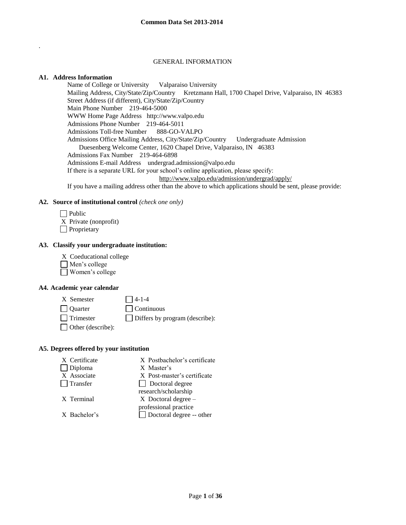### GENERAL INFORMATION

### **A1. Address Information**

.

Name of College or University Valparaiso University Mailing Address, City/State/Zip/Country Kretzmann Hall, 1700 Chapel Drive, Valparaiso, IN 46383 Street Address (if different), City/State/Zip/Country Main Phone Number 219-464-5000 WWW Home Page Address http://www.valpo.edu Admissions Phone Number 219-464-5011 Admissions Toll-free Number 888-GO-VALPO Admissions Office Mailing Address, City/State/Zip/Country Undergraduate Admission Duesenberg Welcome Center, 1620 Chapel Drive, Valparaiso, IN 46383 Admissions Fax Number 219-464-6898 Admissions E-mail Address undergrad.admission@valpo.edu If there is a separate URL for your school's online application, please specify: <http://www.valpo.edu/admission/undergrad/apply/> If you have a mailing address other than the above to which applications should be sent, please provide:

### **A2. Source of institutional control** *(check one only)*

- $\Box$  Public
- X Private (nonprofit)
- **Proprietary**

### **A3. Classify your undergraduate institution:**

- X Coeducational college
- Men's college
- Women's college

### **A4. Academic year calendar**

- $X$  Semester  $\bigcap$  4-1-4 Quarter Continuous
- 
- 
- 

 $\Box$  Trimester  $\Box$  Differs by program (describe):

Other (describe):

## **A5. Degrees offered by your institution**

| X Certificate                 | X Postbachelor's certificate                        |
|-------------------------------|-----------------------------------------------------|
| $\Box$ Diploma<br>X Associate | X Master's<br>X Post-master's certificate           |
| $\Box$ Transfer               | Doctoral degree<br>research/scholarship             |
| X Terminal                    | $X$ Doctoral degree $-$                             |
| X Bachelor's                  | professional practice<br>□ Doctoral degree -- other |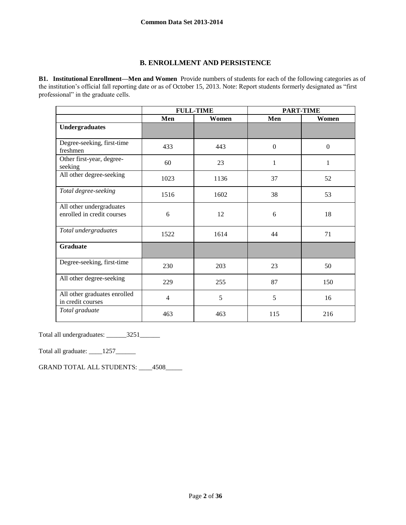# **B. ENROLLMENT AND PERSISTENCE**

**B1. Institutional Enrollment—Men and Women** Provide numbers of students for each of the following categories as of the institution's official fall reporting date or as of October 15, 2013. Note: Report students formerly designated as "first professional" in the graduate cells.

|                                                        | <b>FULL-TIME</b> |       | <b>PART-TIME</b> |                  |
|--------------------------------------------------------|------------------|-------|------------------|------------------|
|                                                        | Men              | Women | Men              | Women            |
| <b>Undergraduates</b>                                  |                  |       |                  |                  |
| Degree-seeking, first-time<br>freshmen                 | 433              | 443   | $\mathbf{0}$     | $\boldsymbol{0}$ |
| Other first-year, degree-<br>seeking                   | 60               | 23    | $\mathbf{1}$     | $\mathbf{1}$     |
| All other degree-seeking                               | 1023             | 1136  | 37               | 52               |
| Total degree-seeking                                   | 1516             | 1602  | 38               | 53               |
| All other undergraduates<br>enrolled in credit courses | 6                | 12    | 6                | 18               |
| Total undergraduates                                   | 1522             | 1614  | 44               | 71               |
| <b>Graduate</b>                                        |                  |       |                  |                  |
| Degree-seeking, first-time                             | 230              | 203   | 23               | 50               |
| All other degree-seeking                               | 229              | 255   | 87               | 150              |
| All other graduates enrolled<br>in credit courses      | 4                | 5     | 5                | 16               |
| Total graduate                                         | 463              | 463   | 115              | 216              |

Total all undergraduates: \_\_\_\_\_\_3251\_\_\_\_\_\_

Total all graduate: \_\_\_\_\_1257\_\_\_\_\_\_\_

GRAND TOTAL ALL STUDENTS: \_\_\_\_4508\_\_\_\_\_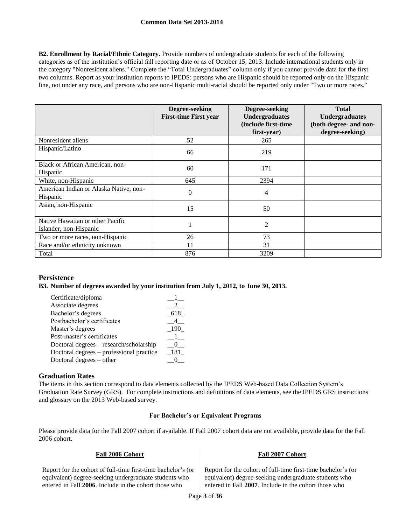**B2. Enrollment by Racial/Ethnic Category.** Provide numbers of undergraduate students for each of the following categories as of the institution's official fall reporting date or as of October 15, 2013. Include international students only in the category "Nonresident aliens." Complete the "Total Undergraduates" column only if you cannot provide data for the first two columns. Report as your institution reports to IPEDS: persons who are Hispanic should be reported only on the Hispanic line, not under any race, and persons who are non-Hispanic multi-racial should be reported only under "Two or more races."

|                                                            | Degree-seeking<br><b>First-time First year</b> | Degree-seeking<br><b>Undergraduates</b><br>(include first-time<br>first-year) | <b>Total</b><br><b>Undergraduates</b><br>(both degree- and non-<br>degree-seeking) |
|------------------------------------------------------------|------------------------------------------------|-------------------------------------------------------------------------------|------------------------------------------------------------------------------------|
| Nonresident aliens                                         | 52                                             | 265                                                                           |                                                                                    |
| Hispanic/Latino                                            | 66                                             | 219                                                                           |                                                                                    |
| Black or African American, non-<br>Hispanic                | 60                                             | 171                                                                           |                                                                                    |
| White, non-Hispanic                                        | 645                                            | 2394                                                                          |                                                                                    |
| American Indian or Alaska Native, non-<br>Hispanic         | $\theta$                                       | 4                                                                             |                                                                                    |
| Asian, non-Hispanic                                        | 15                                             | 50                                                                            |                                                                                    |
| Native Hawaiian or other Pacific<br>Islander, non-Hispanic |                                                | $\overline{2}$                                                                |                                                                                    |
| Two or more races, non-Hispanic                            | 26                                             | 73                                                                            |                                                                                    |
| Race and/or ethnicity unknown                              | 11                                             | 31                                                                            |                                                                                    |
| Total                                                      | 876                                            | 3209                                                                          |                                                                                    |

## **Persistence**

#### **B3. Number of degrees awarded by your institution from July 1, 2012, to June 30, 2013.**

| -618  |
|-------|
|       |
| 19    |
|       |
|       |
| - 181 |
|       |
|       |

# **Graduation Rates**

The items in this section correspond to data elements collected by the IPEDS Web-based Data Collection System's Graduation Rate Survey (GRS). For complete instructions and definitions of data elements, see the IPEDS GRS instructions and glossary on the 2013 Web-based survey.

### **For Bachelor's or Equivalent Programs**

Please provide data for the Fall 2007 cohort if available. If Fall 2007 cohort data are not available, provide data for the Fall 2006 cohort.

| Report for the cohort of full-time first-time bachelor's (or | Report for the coho  |
|--------------------------------------------------------------|----------------------|
| equivalent) degree-seeking undergraduate students who        | equivalent) degree-  |
| entered in Fall 2006. Include in the cohort those who        | entered in Fall 2007 |

# **Fall 2006 Cohort Fall 2007 Cohort**

ort of full-time first-time bachelor's (or seeking undergraduate students who entered in Fall **2007**. Include in the cohort those who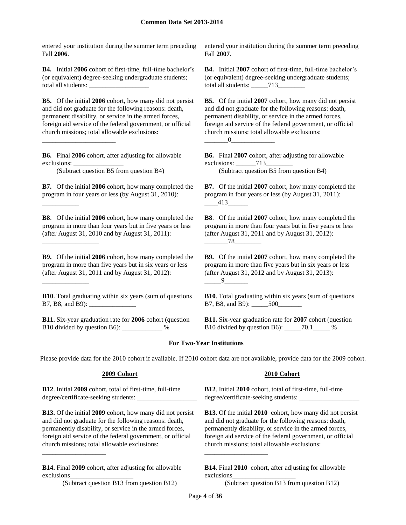entered your institution during the summer term preceding Fall **2006**. entered your institution during the summer term preceding Fall **2007**. **B4.** Initial **2006** cohort of first-time, full-time bachelor's (or equivalent) degree-seeking undergraduate students; total all students: **B4.** Initial **2007** cohort of first-time, full-time bachelor's (or equivalent) degree-seeking undergraduate students; total all students: \_\_\_\_\_713\_\_\_\_\_\_\_\_ **B5.** Of the initial **2006** cohort, how many did not persist and did not graduate for the following reasons: death, permanent disability, or service in the armed forces, foreign aid service of the federal government, or official church missions; total allowable exclusions: \_\_\_\_\_\_\_\_\_\_\_\_\_\_\_\_\_\_\_\_\_\_ **B5.** Of the initial **2007** cohort, how many did not persist and did not graduate for the following reasons: death, permanent disability, or service in the armed forces, foreign aid service of the federal government, or official church missions; total allowable exclusions:  $\underline{\hspace{1cm}} 0$ **B6.** Final **2006** cohort, after adjusting for allowable exclusions: **B6.** Final **2007** cohort, after adjusting for allowable exclusions: 713 (Subtract question B5 from question B4) (Subtract question B5 from question B4) **B7.** Of the initial **2006** cohort, how many completed the program in four years or less (by August 31, 2010): \_\_\_\_\_\_\_\_\_\_\_ **B7.** Of the initial **2007** cohort, how many completed the program in four years or less (by August 31, 2011): \_\_\_\_413\_\_\_\_\_\_ **B8**. Of the initial **2006** cohort, how many completed the program in more than four years but in five years or less (after August 31, 2010 and by August 31, 2011): \_\_\_\_\_\_\_\_\_\_\_\_\_\_\_\_\_ **B8**. Of the initial **2007** cohort, how many completed the program in more than four years but in five years or less (after August 31, 2011 and by August 31, 2012): \_\_\_\_\_\_\_78\_\_\_\_\_\_\_\_ **B9.** Of the initial **2006** cohort, how many completed the program in more than five years but in six years or less (after August 31, 2011 and by August 31, 2012): \_\_\_\_\_\_\_\_\_\_\_\_\_\_ **B9.** Of the initial **2007** cohort, how many completed the program in more than five years but in six years or less (after August 31, 2012 and by August 31, 2013):  $-9$ **B10**. Total graduating within six years (sum of questions B7, B8, and B9): \_\_\_\_\_\_\_\_\_\_\_\_\_\_ **B10**. Total graduating within six years (sum of questions B7, B8, and B9): \_\_\_\_\_500\_\_\_\_\_\_\_ **B11.** Six-year graduation rate for **2006** cohort (question B10 divided by question B6): \_\_\_\_\_\_\_\_\_\_\_\_ % **B11.** Six-year graduation rate for **2007** cohort (question B10 divided by question B6): \_\_\_\_\_70.1\_\_\_\_\_ %

# **For Two-Year Institutions**

Please provide data for the 2010 cohort if available. If 2010 cohort data are not available, provide data for the 2009 cohort.

| 2009 Cohort                                                      | 2010 Cohort                                                      |
|------------------------------------------------------------------|------------------------------------------------------------------|
| <b>B12.</b> Initial 2009 cohort, total of first-time, full-time  | <b>B12.</b> Initial 2010 cohort, total of first-time, full-time  |
| degree/certificate-seeking students:                             | degree/certificate-seeking students:                             |
| <b>B13.</b> Of the initial 2009 cohort, how many did not persist | <b>B13.</b> Of the initial 2010 cohort, how many did not persist |
| and did not graduate for the following reasons: death,           | and did not graduate for the following reasons: death,           |
| permanently disability, or service in the armed forces,          | permanently disability, or service in the armed forces,          |
| foreign aid service of the federal government, or official       | foreign aid service of the federal government, or official       |
| church missions; total allowable exclusions:                     | church missions; total allowable exclusions:                     |
| <b>B14.</b> Final 2009 cohort, after adjusting for allowable     | <b>B14.</b> Final 2010 cohort, after adjusting for allowable     |
| exclusions                                                       | exclusions                                                       |
| (Subtract question B13 from question B12)                        | (Subtract question B13 from question B12)                        |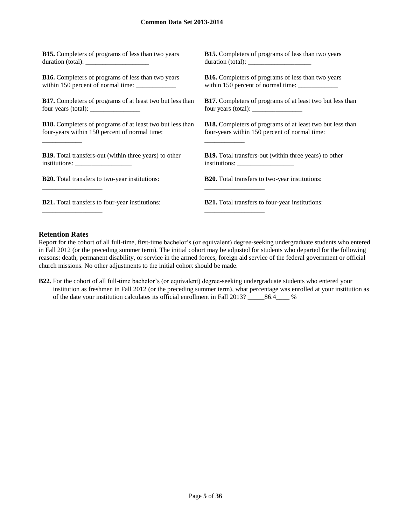| <b>B15.</b> Completers of programs of less than two years                                 | <b>B15.</b> Completers of programs of less than two years                                                                                                                                                                                                                                         |
|-------------------------------------------------------------------------------------------|---------------------------------------------------------------------------------------------------------------------------------------------------------------------------------------------------------------------------------------------------------------------------------------------------|
|                                                                                           | duration (total):                                                                                                                                                                                                                                                                                 |
| <b>B16.</b> Completers of programs of less than two years                                 | <b>B16.</b> Completers of programs of less than two years                                                                                                                                                                                                                                         |
|                                                                                           |                                                                                                                                                                                                                                                                                                   |
| <b>B17.</b> Completers of programs of at least two but less than                          | <b>B17.</b> Completers of programs of at least two but less than                                                                                                                                                                                                                                  |
| four years (total): $\frac{1}{\sqrt{1-\frac{1}{2}} \cdot \frac{1}{\sqrt{1-\frac{1}{2}}}}$ | four years (total): $\frac{1}{2}$ = $\frac{1}{2}$ = $\frac{1}{2}$ = $\frac{1}{2}$ = $\frac{1}{2}$ = $\frac{1}{2}$ = $\frac{1}{2}$ = $\frac{1}{2}$ = $\frac{1}{2}$ = $\frac{1}{2}$ = $\frac{1}{2}$ = $\frac{1}{2}$ = $\frac{1}{2}$ = $\frac{1}{2}$ = $\frac{1}{2}$ = $\frac{1}{2}$ = $\frac{1}{2}$ |
| <b>B18.</b> Completers of programs of at least two but less than                          | <b>B18.</b> Completers of programs of at least two but less than                                                                                                                                                                                                                                  |
| four-years within 150 percent of normal time:                                             | four-years within 150 percent of normal time:                                                                                                                                                                                                                                                     |
|                                                                                           |                                                                                                                                                                                                                                                                                                   |
| <b>B19.</b> Total transfers-out (within three years) to other                             | <b>B19.</b> Total transfers-out (within three years) to other                                                                                                                                                                                                                                     |
|                                                                                           |                                                                                                                                                                                                                                                                                                   |
| <b>B20.</b> Total transfers to two-year institutions:                                     | <b>B20.</b> Total transfers to two-year institutions:                                                                                                                                                                                                                                             |
| <b>B21.</b> Total transfers to four-year institutions:                                    | <b>B21.</b> Total transfers to four-year institutions:                                                                                                                                                                                                                                            |

 $\overline{1}$ 

# **Retention Rates**

Report for the cohort of all full-time, first-time bachelor's (or equivalent) degree-seeking undergraduate students who entered in Fall 2012 (or the preceding summer term). The initial cohort may be adjusted for students who departed for the following reasons: death, permanent disability, or service in the armed forces, foreign aid service of the federal government or official church missions. No other adjustments to the initial cohort should be made.

**B22.** For the cohort of all full-time bachelor's (or equivalent) degree-seeking undergraduate students who entered your institution as freshmen in Fall 2012 (or the preceding summer term), what percentage was enrolled at your institution as of the date your institution calculates its official enrollment in Fall 2013? \_\_\_\_\_86.4\_\_\_\_ %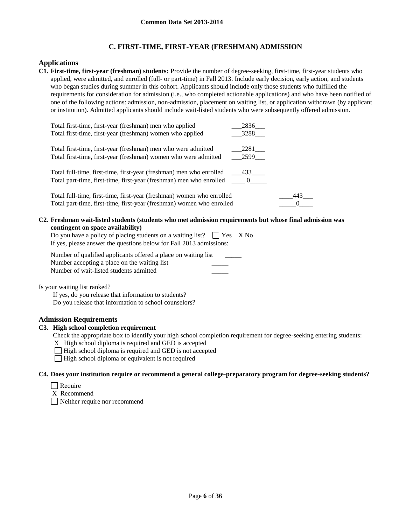# **C. FIRST-TIME, FIRST-YEAR (FRESHMAN) ADMISSION**

# **Applications**

**C1. First-time, first-year (freshman) students:** Provide the number of degree-seeking, first-time, first-year students who applied, were admitted, and enrolled (full- or part-time) in Fall 2013. Include early decision, early action, and students who began studies during summer in this cohort. Applicants should include only those students who fulfilled the requirements for consideration for admission (i.e., who completed actionable applications) and who have been notified of one of the following actions: admission, non-admission, placement on waiting list, or application withdrawn (by applicant or institution). Admitted applicants should include wait-listed students who were subsequently offered admission.

| Total first-time, first-year (freshman) men who applied<br>Total first-time, first-year (freshman) women who applied                                     | 2836<br>3288 |     |
|----------------------------------------------------------------------------------------------------------------------------------------------------------|--------------|-----|
| Total first-time, first-year (freshman) men who were admitted<br>Total first-time, first-year (freshman) women who were admitted                         | 2281<br>2599 |     |
| Total full-time, first-time, first-year (freshman) men who enrolled<br>Total part-time, first-time, first-year (freshman) men who enrolled ______ 0_____ | 433          |     |
| Total full-time, first-time, first-year (freshman) women who enrolled<br>Total part-time, first-time, first-year (freshman) women who enrolled           |              | 443 |

#### **C2. Freshman wait-listed students (students who met admission requirements but whose final admission was contingent on space availability)**

| Do you have a policy of placing students on a waiting list? $\Box$ Yes X No |  |
|-----------------------------------------------------------------------------|--|
| If yes, please answer the questions below for Fall 2013 admissions:         |  |

Number of qualified applicants offered a place on waiting list Number accepting a place on the waiting list Number of wait-listed students admitted \_\_\_\_\_

Is your waiting list ranked?

If yes, do you release that information to students? Do you release that information to school counselors?

# **Admission Requirements**

# **C3. High school completion requirement**

Check the appropriate box to identify your high school completion requirement for degree-seeking entering students:

X High school diploma is required and GED is accepted

 $\Box$  High school diploma is required and GED is not accepted

 $\Box$  High school diploma or equivalent is not required

## **C4. Does your institution require or recommend a general college-preparatory program for degree-seeking students?**

- $\Box$  Require
- X Recommend

Neither require nor recommend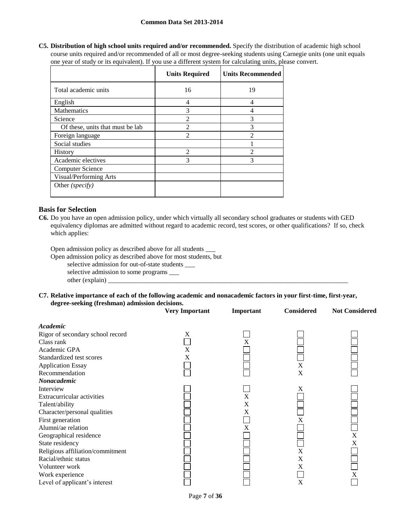**C5. Distribution of high school units required and/or recommended.** Specify the distribution of academic high school course units required and/or recommended of all or most degree-seeking students using Carnegie units (one unit equals one year of study or its equivalent). If you use a different system for calculating units, please convert.

|                                  | <b>Units Required</b> | <b>Units Recommended</b> |
|----------------------------------|-----------------------|--------------------------|
| Total academic units             | 16                    | 19                       |
| English                          | 4                     | 4                        |
| Mathematics                      | 3                     | 4                        |
| Science                          | $\mathfrak{D}$        | 3                        |
| Of these, units that must be lab | $\mathfrak{D}$        | 3                        |
| Foreign language                 | $\mathfrak{D}$        | っ                        |
| Social studies                   |                       |                          |
| <b>History</b>                   | $\mathfrak{D}$        | $\mathfrak{D}$           |
| Academic electives               | 3                     | 3                        |
| <b>Computer Science</b>          |                       |                          |
| Visual/Performing Arts           |                       |                          |
| Other (specify)                  |                       |                          |

# **Basis for Selection**

**C6.** Do you have an open admission policy, under which virtually all secondary school graduates or students with GED equivalency diplomas are admitted without regard to academic record, test scores, or other qualifications? If so, check which applies:

Open admission policy as described above for all students \_\_\_

Open admission policy as described above for most students, but

selective admission for out-of-state students \_\_\_

selective admission to some programs \_\_\_

 $other (explain)$ 

#### **C7. Relative importance of each of the following academic and nonacademic factors in your first-time, first-year, degree-seeking (freshman) admission decisions.**

|                                                                                                                                                                                                                                                                                                                           | <b>Very Important</b> | Important                        | <b>Considered</b>              | <b>Not Considered</b> |
|---------------------------------------------------------------------------------------------------------------------------------------------------------------------------------------------------------------------------------------------------------------------------------------------------------------------------|-----------------------|----------------------------------|--------------------------------|-----------------------|
| Academic<br>Rigor of secondary school record<br>Class rank<br>Academic GPA<br>Standardized test scores<br><b>Application Essay</b><br>Recommendation                                                                                                                                                                      | X<br>X<br>Χ           | X                                | $\boldsymbol{\mathrm{X}}$<br>X |                       |
| Nonacademic                                                                                                                                                                                                                                                                                                               |                       |                                  |                                |                       |
| Interview<br><b>Extracurricular activities</b><br>Talent/ability<br>Character/personal qualities<br>First generation<br>Alumni/ae relation<br>Geographical residence<br>State residency<br>Religious affiliation/commitment<br>Racial/ethnic status<br>Volunteer work<br>Work experience<br>Level of applicant's interest |                       | X<br>X<br>X<br>$\rm\overline{X}$ | X<br>X<br>X<br>X<br>X<br>X     | $\mathbf X$<br>X<br>X |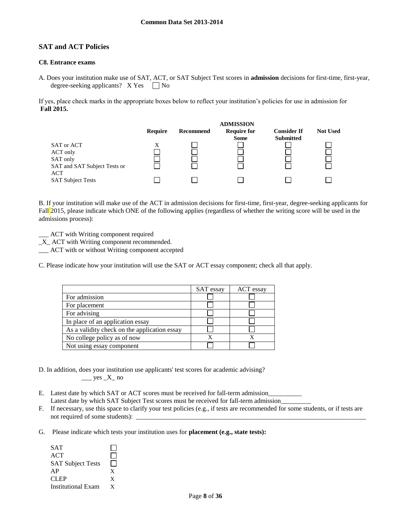# **SAT and ACT Policies**

### **C8. Entrance exams**

A. Does your institution make use of SAT, ACT, or SAT Subject Test scores in **admission** decisions for first-time, first-year, degree-seeking applicants?  $X Yes \tN$ 

If yes, place check marks in the appropriate boxes below to reflect your institution's policies for use in admission for **Fall 2015.**



B. If your institution will make use of the ACT in admission decisions for first-time, first-year, degree-seeking applicants for Fall 2015, please indicate which ONE of the following applies (regardless of whether the writing score will be used in the admissions process):

\_\_\_ ACT with Writing component required

\_X\_ ACT with Writing component recommended.

\_\_\_ ACT with or without Writing component accepted

C. Please indicate how your institution will use the SAT or ACT essay component; check all that apply.

|                                              | SAT essay | ACT essay |
|----------------------------------------------|-----------|-----------|
| For admission                                |           |           |
| For placement                                |           |           |
| For advising                                 |           |           |
| In place of an application essay             |           |           |
| As a validity check on the application essay |           |           |
| No college policy as of now                  |           |           |
| Not using essay component                    |           |           |

- D. In addition, does your institution use applicants' test scores for academic advising?  $\rule{1em}{0.15mm}$  yes  $X$  no
- E. Latest date by which SAT or ACT scores must be received for fall-term admission\_ Latest date by which SAT Subject Test scores must be received for fall-term admission
- F. If necessary, use this space to clarify your test policies (e.g., if tests are recommended for some students, or if tests are not required of some students):
- G. Please indicate which tests your institution uses for **placement (e.g., state tests):**

| <b>SAT</b>                |   |
|---------------------------|---|
| ACT                       |   |
| <b>SAT Subject Tests</b>  |   |
| AP                        | X |
| <b>CLEP</b>               | X |
| <b>Institutional Exam</b> | Y |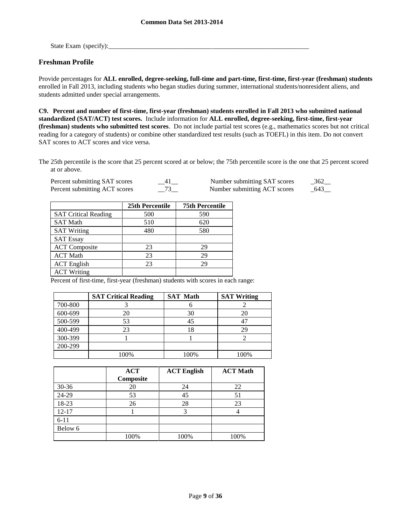State Exam (specify):\_\_\_\_\_\_\_\_\_\_\_\_\_\_\_\_\_\_\_\_\_\_\_\_\_\_\_\_\_\_\_\_\_\_\_\_\_\_\_\_\_\_\_\_\_\_\_\_\_\_\_\_\_\_\_\_\_\_\_\_

# **Freshman Profile**

Provide percentages for **ALL enrolled, degree-seeking, full-time and part-time, first-time, first-year (freshman) students**  enrolled in Fall 2013, including students who began studies during summer, international students/nonresident aliens, and students admitted under special arrangements.

**C9. Percent and number of first-time, first-year (freshman) students enrolled in Fall 2013 who submitted national standardized (SAT/ACT) test scores.** Include information for **ALL enrolled, degree-seeking, first-time, first-year (freshman) students who submitted test scores**. Do not include partial test scores (e.g., mathematics scores but not critical reading for a category of students) or combine other standardized test results (such as TOEFL) in this item. Do not convert SAT scores to ACT scores and vice versa.

The 25th percentile is the score that 25 percent scored at or below; the 75th percentile score is the one that 25 percent scored at or above.

| Percent submitting SAT scores | 41 |
|-------------------------------|----|
| Percent submitting ACT scores |    |

Percent submitting SAT scores \_\_41\_\_ Number submitting SAT scores \_362\_\_ Percent submitting ACT scores \_\_73\_\_ Number submitting ACT scores \_643\_\_

|                             | 25th Percentile | <b>75th Percentile</b> |
|-----------------------------|-----------------|------------------------|
| <b>SAT Critical Reading</b> | 500             | 590                    |
| <b>SAT Math</b>             | 510             | 620                    |
| <b>SAT Writing</b>          | 480             | 580                    |
| <b>SAT Essay</b>            |                 |                        |
| <b>ACT</b> Composite        | 23              | 29                     |
| <b>ACT Math</b>             | 23              | 29                     |
| <b>ACT</b> English          | 23              | 29                     |
| <b>ACT Writing</b>          |                 |                        |

Percent of first-time, first-year (freshman) students with scores in each range:

|         | <b>SAT Critical Reading</b> | <b>SAT Math</b> | <b>SAT Writing</b> |
|---------|-----------------------------|-----------------|--------------------|
| 700-800 |                             |                 |                    |
| 600-699 |                             | 30              |                    |
| 500-599 | 53                          | 45              |                    |
| 400-499 | 23                          | 18              | 29                 |
| 300-399 |                             |                 |                    |
| 200-299 |                             |                 |                    |
|         | 100%                        | 100%            | 100%               |

|           | <b>ACT</b><br>Composite | <b>ACT English</b> | <b>ACT Math</b> |
|-----------|-------------------------|--------------------|-----------------|
| $30 - 36$ | 20                      | 24                 | 22              |
| 24-29     | 53                      | 45                 | 51              |
| 18-23     | 26                      | 28                 | 23              |
| $12 - 17$ |                         |                    |                 |
| $6 - 11$  |                         |                    |                 |
| Below 6   |                         |                    |                 |
|           | 100%                    | 100%               | 100%            |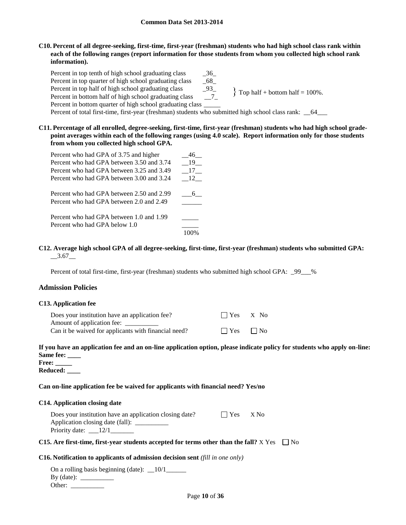### **C10. Percent of all degree-seeking, first-time, first-year (freshman) students who had high school class rank within each of the following ranges (report information for those students from whom you collected high school rank information).**

Percent in top tenth of high school graduating class \_\_\_\_\_\_\_\_\_\_\_\_\_\_\_\_\_\_\_\_\_\_\_\_\_\_\_\_ Percent in top quarter of high school graduating class  $68$ Percent in top half of high school graduating class \_\_\_\_\_\_\_\_\_\_\_\_\_\_\_\_\_\_\_\_\_\_\_\_\_\_\_\_\_ Percent in bottom half of high school graduating class \_\_7\_ Percent in bottom quarter of high school graduating class  $\}$  Top half + bottom half = 100%.

Percent of total first-time, first-year (freshman) students who submitted high school class rank:  $64$ 

**C11. Percentage of all enrolled, degree-seeking, first-time, first-year (freshman) students who had high school gradepoint averages within each of the following ranges (using 4.0 scale). Report information only for those students from whom you collected high school GPA.**

| Percent who had GPA of 3.75 and higher    | 46 |
|-------------------------------------------|----|
| Percent who had GPA between 3.50 and 3.74 | 19 |
| Percent who had GPA between 3.25 and 3.49 | 17 |
| Percent who had GPA between 3.00 and 3.24 | 12 |
| Percent who had GPA between 2.50 and 2.99 | 6. |
| Percent who had GPA between 2.0 and 2.49  |    |
| Percent who had GPA between 1.0 and 1.99  |    |
| Percent who had GPA below 1.0             |    |
|                                           |    |

### **C12. Average high school GPA of all degree-seeking, first-time, first-year (freshman) students who submitted GPA:**  $-3.67$

Percent of total first-time, first-year (freshman) students who submitted high school GPA:  $\_99$ <sub>--%</sub>

# **Admission Policies**

#### **C13. Application fee**

| Does your institution have an application fee?       | $\Box$ Yes X No      |  |
|------------------------------------------------------|----------------------|--|
| Amount of application fee:                           |                      |  |
| Can it be waived for applicants with financial need? | $\Box$ Yes $\Box$ No |  |

# **If you have an application fee and an on-line application option, please indicate policy for students who apply on-line: Same fee: \_\_\_\_**

**Free: \_\_\_\_\_ Reduced: \_\_\_\_**

## **Can on-line application fee be waived for applicants with financial need? Yes/no**

#### **C14. Application closing date**

| Does your institution have an application closing date?                                                        | l I Yes X No |  |
|----------------------------------------------------------------------------------------------------------------|--------------|--|
| Application closing date (fall): _____                                                                         |              |  |
| Priority date: $\frac{12}{1}$                                                                                  |              |  |
| י לא לא באות המונים והווירה ביותר להוויחים והוויחים והוויחים והוויחים והוויחים והוויחים והוויחים להוויחים והוו |              |  |

### **C15.** Are first-time, first-year students accepted for terms other than the fall?  $X$  Yes  $\Box$  No

#### **C16. Notification to applicants of admission decision sent** *(fill in one only)*

| On a rolling basis beginning (date): $\_\$ 10/1 |
|-------------------------------------------------|
| $By$ (date):                                    |
| Other:                                          |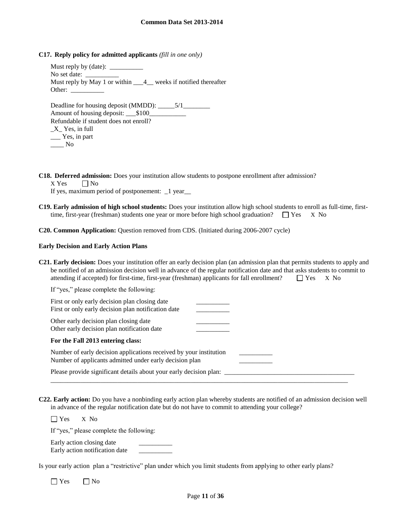**C17. Reply policy for admitted applicants** *(fill in one only)*

Must reply by (date): No set date: Must reply by May 1 or within  $\frac{4}{1}$  weeks if notified thereafter Other: Deadline for housing deposit (MMDD): \_\_\_\_\_5/1\_\_\_\_\_ Amount of housing deposit: \_\_\_\$100\_\_\_\_\_\_\_\_\_\_ Refundable if student does not enroll? \_X\_ Yes, in full

| $\Delta$ res, in Tull |  |
|-----------------------|--|
| Yes, in part          |  |
| No                    |  |

**C18. Deferred admission:** Does your institution allow students to postpone enrollment after admission?

 $X$  Yes  $\Box$  No

If yes, maximum period of postponement: \_1 year\_\_

**C19. Early admission of high school students:** Does your institution allow high school students to enroll as full-time, firsttime, first-year (freshman) students one year or more before high school graduation?  $\Box$  Yes X No

**C20. Common Application:** Question removed from CDS. (Initiated during 2006-2007 cycle)

#### **Early Decision and Early Action Plans**

**C21. Early decision:** Does your institution offer an early decision plan (an admission plan that permits students to apply and be notified of an admission decision well in advance of the regular notification date and that asks students to commit to attending if accepted) for first-time, first-year (freshman) applicants for fall enrollment?  $\Box$  Yes X No

| If "yes," please complete the following:                                                                                      |  |
|-------------------------------------------------------------------------------------------------------------------------------|--|
| First or only early decision plan closing date<br>First or only early decision plan notification date                         |  |
| Other early decision plan closing date<br>Other early decision plan notification date                                         |  |
| For the Fall 2013 entering class:                                                                                             |  |
| Number of early decision applications received by your institution<br>Number of applicants admitted under early decision plan |  |
| Please provide significant details about your early decision plan:                                                            |  |

**C22. Early action:** Do you have a nonbinding early action plan whereby students are notified of an admission decision well in advance of the regular notification date but do not have to commit to attending your college?

Yes X No

If "yes," please complete the following:

Early action closing date Early action notification date \_\_\_\_\_\_\_\_\_\_

Is your early action plan a "restrictive" plan under which you limit students from applying to other early plans?

 $\Box$  Yes  $\Box$  No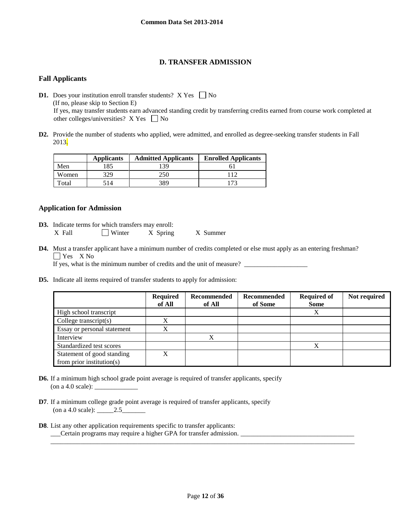# **D. TRANSFER ADMISSION**

# **Fall Applicants**

**D1.** Does your institution enroll transfer students?  $X$  Yes  $\Box$  No (If no, please skip to Section E) If yes, may transfer students earn advanced standing credit by transferring credits earned from course work completed at other colleges/universities?  $X$  Yes  $\Box$  No

**D2.** Provide the number of students who applied, were admitted, and enrolled as degree-seeking transfer students in Fall 2013.

|       | <b>Applicants</b> | <b>Admitted Applicants</b> | <b>Enrolled Applicants</b> |
|-------|-------------------|----------------------------|----------------------------|
| Men   | 185               | 39                         |                            |
| Women | 329               | 250                        |                            |
| Total | 514               | 389                        |                            |

# **Application for Admission**

- **D3.** Indicate terms for which transfers may enroll: X Fall  $\Box$  Winter X Spring X Summer
- **D4.** Must a transfer applicant have a minimum number of credits completed or else must apply as an entering freshman? **T** Yes X No

If yes, what is the minimum number of credits and the unit of measure?

**D5.** Indicate all items required of transfer students to apply for admission:

|                               | <b>Required</b><br>of All | Recommended<br>of All | Recommended<br>of Some | <b>Required of</b><br><b>Some</b> | Not required |
|-------------------------------|---------------------------|-----------------------|------------------------|-----------------------------------|--------------|
| High school transcript        |                           |                       |                        | Χ                                 |              |
| College transcript $(s)$      | X                         |                       |                        |                                   |              |
| Essay or personal statement   | X                         |                       |                        |                                   |              |
| Interview                     |                           | v                     |                        |                                   |              |
| Standardized test scores      |                           |                       |                        | X                                 |              |
| Statement of good standing    | X                         |                       |                        |                                   |              |
| from prior institution( $s$ ) |                           |                       |                        |                                   |              |

- **D6.** If a minimum high school grade point average is required of transfer applicants, specify (on a 4.0 scale):  $\_\_$
- **D7**. If a minimum college grade point average is required of transfer applicants, specify (on a 4.0 scale): \_\_\_\_\_2.5\_\_\_\_\_\_\_
- **D8**. List any other application requirements specific to transfer applicants: \_\_\_Certain programs may require a higher GPA for transfer admission. \_\_\_\_\_\_\_\_\_\_\_\_\_\_\_\_\_\_\_\_\_\_\_\_\_\_\_\_\_\_\_\_\_\_

\_\_\_\_\_\_\_\_\_\_\_\_\_\_\_\_\_\_\_\_\_\_\_\_\_\_\_\_\_\_\_\_\_\_\_\_\_\_\_\_\_\_\_\_\_\_\_\_\_\_\_\_\_\_\_\_\_\_\_\_\_\_\_\_\_\_\_\_\_\_\_\_\_\_\_\_\_\_\_\_\_\_\_\_\_\_\_\_\_\_\_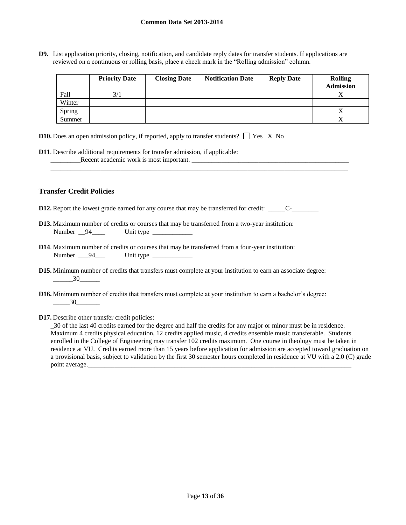**D9.** List application priority, closing, notification, and candidate reply dates for transfer students. If applications are reviewed on a continuous or rolling basis, place a check mark in the "Rolling admission" column.

|        | <b>Priority Date</b> | <b>Closing Date</b> | <b>Notification Date</b> | <b>Reply Date</b> | <b>Rolling</b><br><b>Admission</b> |
|--------|----------------------|---------------------|--------------------------|-------------------|------------------------------------|
| Fall   | 3/1                  |                     |                          |                   |                                    |
| Winter |                      |                     |                          |                   |                                    |
| Spring |                      |                     |                          |                   |                                    |
| Summer |                      |                     |                          |                   |                                    |

\_\_\_\_\_\_\_\_\_\_\_\_\_\_\_\_\_\_\_\_\_\_\_\_\_\_\_\_\_\_\_\_\_\_\_\_\_\_\_\_\_\_\_\_\_\_\_\_\_\_\_\_\_\_\_\_\_\_\_\_\_\_\_\_\_\_\_\_\_\_\_\_\_\_\_\_\_\_\_\_\_\_\_\_\_\_\_\_\_

| <b>D10.</b> Does an open admission policy, if reported, apply to transfer students? $\Box$ Yes X No |  |  |  |  |  |
|-----------------------------------------------------------------------------------------------------|--|--|--|--|--|
|-----------------------------------------------------------------------------------------------------|--|--|--|--|--|

**D11**. Describe additional requirements for transfer admission, if applicable: \_\_\_\_\_\_\_\_\_Recent academic work is most important. \_\_\_\_\_\_\_\_\_\_\_\_\_\_\_\_\_\_\_\_\_\_\_\_\_\_\_\_\_\_\_\_\_\_\_\_\_\_\_\_\_\_\_\_\_\_\_

# **Transfer Credit Policies**

- **D12.** Report the lowest grade earned for any course that may be transferred for credit: \_\_\_\_\_C-\_\_\_\_\_\_\_\_
- **D13.** Maximum number of credits or courses that may be transferred from a two-year institution: Number <u>94</u> Unit type
- **D14**. Maximum number of credits or courses that may be transferred from a four-year institution: Number \_\_\_94\_\_\_ Unit type \_\_\_\_\_\_\_\_\_\_\_\_
- **D15.** Minimum number of credits that transfers must complete at your institution to earn an associate degree:  $\frac{30}{2}$
- **D16.** Minimum number of credits that transfers must complete at your institution to earn a bachelor's degree: \_\_\_\_\_30\_\_\_\_\_\_\_
- **D17.** Describe other transfer credit policies:

\_30 of the last 40 credits earned for the degree and half the credits for any major or minor must be in residence. Maximum 4 credits physical education, 12 credits applied music, 4 credits ensemble music transferable. Students enrolled in the College of Engineering may transfer 102 credits maximum. One course in theology must be taken in residence at VU. Credits earned more than 15 years before application for admission are accepted toward graduation on a provisional basis, subject to validation by the first 30 semester hours completed in residence at VU with a 2.0 (C) grade point average.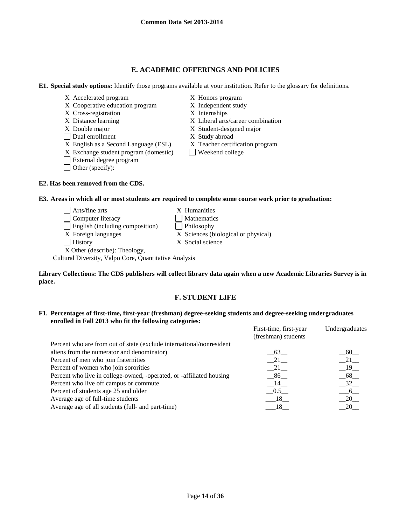# **E. ACADEMIC OFFERINGS AND POLICIES**

### **E1. Special study options:** Identify those programs available at your institution. Refer to the glossary for definitions.

- X Accelerated program X Honors program
- X Cooperative education program X Independent study
- X Cross-registration X Internships
- 
- X Double major X Student-designed major
- Dual enrollment X Study abroad
- X English as a Second Language (ESL) X Teacher certification program
- $X$  Exchange student program (domestic) Weekend college
- External degree program
- Other (specify):

### **E2. Has been removed from the CDS.**

- 
- 
- 
- X Distance learning X Liberal arts/career combination
	-
	- -
	-
- **E3. Areas in which all or most students are required to complete some course work prior to graduation:**
	- $\Box$  Arts/fine arts  $X$  Humanities Computer literacy Mathematics English (including composition) Philosophy X Foreign languages X Sciences (biological or physical) History X Social science X Other (describe): Theology,

Cultural Diversity, Valpo Core, Quantitative Analysis

**Library Collections: The CDS publishers will collect library data again when a new Academic Libraries Survey is in place.** 

# **F. STUDENT LIFE**

**F1. Percentages of first-time, first-year (freshman) degree-seeking students and degree-seeking undergraduates enrolled in Fall 2013 who fit the following categories:** First-time, first-year Undergraduate

| FIFSI-UIIIE, HISI-year<br>(freshman) students | Undergraduates |
|-----------------------------------------------|----------------|
|                                               |                |
| 63                                            | - 60           |
| 21                                            | 21             |
| $-21$                                         | 19             |
| - 86                                          | 68             |
| $-14$                                         | 32             |
| 0.5                                           | 6              |
| 18                                            | 20             |
| 18                                            | 20             |
|                                               |                |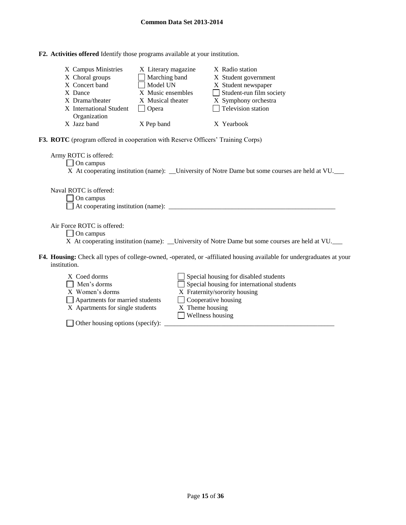| F2. Activities offered Identify those programs available at your institution. |
|-------------------------------------------------------------------------------|
|-------------------------------------------------------------------------------|

| X Campus Ministries<br>X Choral groups<br>X Concert band<br>X Dance<br>X Drama/theater<br>X International Student<br>Organization | X Literary magazine<br>Marching band<br>Model UN<br>X Music ensembles<br>X Musical theater<br>$\Box$ Opera | X Radio station<br>X Student government<br>X Student newspaper<br>Student-run film society<br>X Symphony orchestra<br>Television station                                     |
|-----------------------------------------------------------------------------------------------------------------------------------|------------------------------------------------------------------------------------------------------------|------------------------------------------------------------------------------------------------------------------------------------------------------------------------------|
| X Jazz band                                                                                                                       | X Pep band                                                                                                 | X Yearbook                                                                                                                                                                   |
|                                                                                                                                   |                                                                                                            | <b>F3. ROTC</b> (program offered in cooperation with Reserve Officers' Training Corps)                                                                                       |
| Army ROTC is offered:<br>On campus                                                                                                |                                                                                                            | X At cooperating institution (name): ___University of Notre Dame but some courses are held at VU.                                                                            |
| Naval ROTC is offered:<br>On campus                                                                                               |                                                                                                            |                                                                                                                                                                              |
| Air Force ROTC is offered:<br>$\Box$ On campus                                                                                    |                                                                                                            | X At cooperating institution (name): ___University of Notre Dame but some courses are held at VU.                                                                            |
| institution.                                                                                                                      |                                                                                                            | F4. Housing: Check all types of college-owned, -operated, or -affiliated housing available for undergraduates at your                                                        |
| X Coed dorms<br>Men's dorms<br>X Women's dorms<br>Apartments for married students<br>X Apartments for single students             |                                                                                                            | Special housing for disabled students<br>$\Box$ Special housing for international students<br>X Fraternity/sorority housing<br>$\Box$ Cooperative housing<br>X Theme housing |

Wellness housing

Other housing options (specify): \_\_\_\_\_\_\_\_\_\_\_\_\_\_\_\_\_\_\_\_\_\_\_\_\_\_\_\_\_\_\_\_\_\_\_\_\_\_\_\_\_\_\_\_\_\_\_\_\_\_\_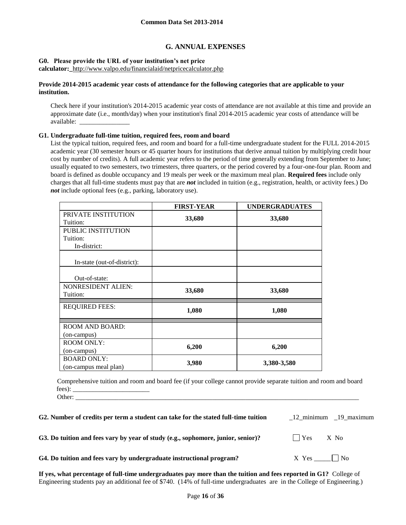# **G. ANNUAL EXPENSES**

### **G0. Please provide the URL of your institution's net price**

**calculator:\_**<http://www.valpo.edu/financialaid/netpricecalculator.php>

### **Provide 2014-2015 academic year costs of attendance for the following categories that are applicable to your institution.**

Check here if your institution's 2014-2015 academic year costs of attendance are not available at this time and provide an approximate date (i.e., month/day) when your institution's final 2014-2015 academic year costs of attendance will be available: \_\_\_\_\_\_\_\_\_\_\_\_\_\_\_

### **G1. Undergraduate full-time tuition, required fees, room and board**

List the typical tuition, required fees, and room and board for a full-time undergraduate student for the FULL 2014-2015 academic year (30 semester hours or 45 quarter hours for institutions that derive annual tuition by multiplying credit hour cost by number of credits). A full academic year refers to the period of time generally extending from September to June; usually equated to two semesters, two trimesters, three quarters, or the period covered by a four-one-four plan. Room and board is defined as double occupancy and 19 meals per week or the maximum meal plan. **Required fees** include only charges that all full-time students must pay that are *not* included in tuition (e.g., registration, health, or activity fees.) Do *not* include optional fees (e.g., parking, laboratory use).

|                                       | <b>FIRST-YEAR</b> | <b>UNDERGRADUATES</b> |
|---------------------------------------|-------------------|-----------------------|
| PRIVATE INSTITUTION                   | 33,680            | 33,680                |
| Tuition:                              |                   |                       |
| PUBLIC INSTITUTION                    |                   |                       |
| Tuition:                              |                   |                       |
| In-district:                          |                   |                       |
| In-state (out-of-district):           |                   |                       |
| Out-of-state:                         |                   |                       |
| <b>NONRESIDENT ALIEN:</b><br>Tuition: | 33,680            | 33,680                |
| <b>REQUIRED FEES:</b>                 | 1,080             | 1,080                 |
| <b>ROOM AND BOARD:</b>                |                   |                       |
| (on-campus)                           |                   |                       |
| <b>ROOM ONLY:</b>                     | 6,200             | 6,200                 |
| (on-campus)                           |                   |                       |
| <b>BOARD ONLY:</b>                    | 3,980             | 3,380-3,580           |
| (on-campus meal plan)                 |                   |                       |

Comprehensive tuition and room and board fee (if your college cannot provide separate tuition and room and board fees): \_\_\_\_\_\_\_\_\_\_\_\_\_\_\_\_\_\_\_\_\_\_\_

Other: \_\_\_\_\_\_\_\_\_\_\_\_\_\_\_\_\_\_\_\_\_\_\_\_\_\_\_\_\_\_\_\_\_\_\_\_\_\_\_\_\_\_\_\_\_\_\_\_\_\_\_\_\_\_\_\_\_\_\_\_\_\_\_\_\_\_\_\_\_\_\_\_\_\_\_\_\_\_\_\_\_\_\_\_\_

| G2. Number of credits per term a student can take for the stated full-time tuition |                    | 12 minimum 19 maximum |
|------------------------------------------------------------------------------------|--------------------|-----------------------|
| G3. Do tuition and fees vary by year of study (e.g., sophomore, junior, senior)?   | $\bigcap$ Yes X No |                       |

|  | G4. Do tuition and fees vary by undergraduate instructional program? |
|--|----------------------------------------------------------------------|
|--|----------------------------------------------------------------------|

**K** Yes  $\Box$  No

**If yes, what percentage of full-time undergraduates pay more than the tuition and fees reported in G1?** College of Engineering students pay an additional fee of \$740. (14% of full-time undergraduates are in the College of Engineering.)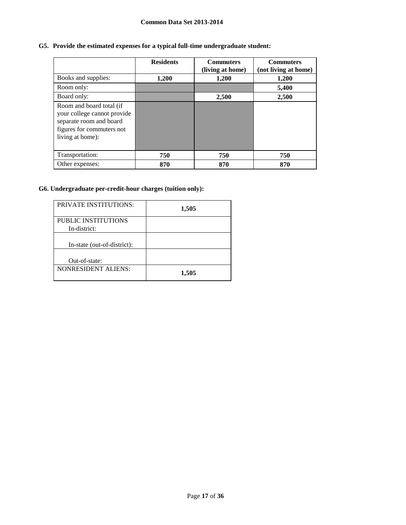# **G5. Provide the estimated expenses for a typical full-time undergraduate student:**

|                                                                                                                                     | <b>Residents</b> | <b>Commuters</b><br>(living at home) | <b>Commuters</b><br>(not living at home) |
|-------------------------------------------------------------------------------------------------------------------------------------|------------------|--------------------------------------|------------------------------------------|
| Books and supplies:                                                                                                                 | 1,200            | 1,200                                | 1,200                                    |
| Room only:                                                                                                                          |                  |                                      | 5,400                                    |
| Board only:                                                                                                                         |                  | 2,500                                | 2,500                                    |
| Room and board total (if<br>your college cannot provide<br>separate room and board<br>figures for commuters not<br>living at home): |                  |                                      |                                          |
| Transportation:                                                                                                                     | 750              | 750                                  | 750                                      |
| Other expenses:                                                                                                                     | 870              | 870                                  | 870                                      |

# **G6. Undergraduate per-credit-hour charges (tuition only):**

| <b>PRIVATE INSTITUTIONS:</b>               | 1,505 |
|--------------------------------------------|-------|
| <b>PUBLIC INSTITUTIONS</b><br>In-district: |       |
| In-state (out-of-district):                |       |
| Out-of-state:                              |       |
| <b>NONRESIDENT ALIENS:</b>                 | 1,505 |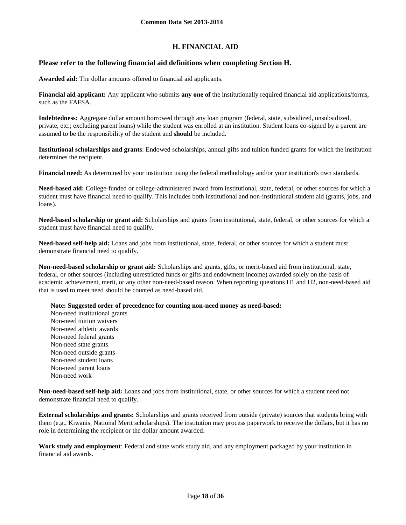# **H. FINANCIAL AID**

# **Please refer to the following financial aid definitions when completing Section H.**

**Awarded aid:** The dollar amounts offered to financial aid applicants.

**Financial aid applicant:** Any applicant who submits **any one of** the institutionally required financial aid applications/forms, such as the FAFSA.

**Indebtedness:** Aggregate dollar amount borrowed through any loan program (federal, state, subsidized, unsubsidized, private, etc.; excluding parent loans) while the student was enrolled at an institution. Student loans co-signed by a parent are assumed to be the responsibility of the student and **should** be included.

**Institutional scholarships and grants**: Endowed scholarships, annual gifts and tuition funded grants for which the institution determines the recipient.

**Financial need:** As determined by your institution using the federal methodology and/or your institution's own standards.

**Need-based aid:** College-funded or college-administered award from institutional, state, federal, or other sources for which a student must have financial need to qualify. This includes both institutional and non-institutional student aid (grants, jobs, and loans).

**Need-based scholarship or grant aid:** Scholarships and grants from institutional, state, federal, or other sources for which a student must have financial need to qualify.

**Need-based self-help aid:** Loans and jobs from institutional, state, federal, or other sources for which a student must demonstrate financial need to qualify.

**Non-need-based scholarship or grant aid:** Scholarships and grants, gifts, or merit-based aid from institutional, state, federal, or other sources (including unrestricted funds or gifts and endowment income) awarded solely on the basis of academic achievement, merit, or any other non-need-based reason. When reporting questions H1 and H2, non-need-based aid that is used to meet need should be counted as need-based aid.

**Note: Suggested order of precedence for counting non-need money as need-based:**

Non-need institutional grants Non-need tuition waivers Non-need athletic awards Non-need federal grants Non-need state grants Non-need outside grants Non-need student loans Non-need parent loans Non-need work

**Non-need-based self-help aid:** Loans and jobs from institutional, state, or other sources for which a student need not demonstrate financial need to qualify.

**External scholarships and grants:** Scholarships and grants received from outside (private) sources that students bring with them (e.g., Kiwanis, National Merit scholarships). The institution may process paperwork to receive the dollars, but it has no role in determining the recipient or the dollar amount awarded.

**Work study and employment**: Federal and state work study aid, and any employment packaged by your institution in financial aid awards.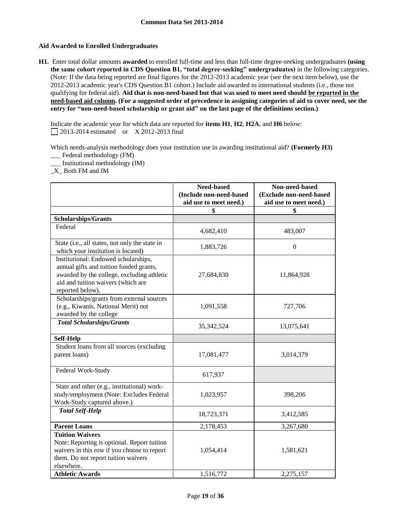## **Aid Awarded to Enrolled Undergraduates**

**H1.** Enter total dollar amounts **awarded** to enrolled full-time and less than full-time degree-seeking undergraduates **(using the same cohort reported in CDS Question B1, "total degree-seeking" undergraduates)** in the following categories. (Note: If the data being reported are final figures for the 2012-2013 academic year (see the next item below), use the 2012-2013 academic year's CDS Question B1 cohort.) Include aid awarded to international students (i.e., those not qualifying for federal aid). **Aid that is non-need-based but that was used to meet need should be reported in the need-based aid column. (For a suggested order of precedence in assigning categories of aid to cover need, see the entry for "non-need-based scholarship or grant aid" on the last page of the definitions section.)**

Indicate the academic year for which data are reported for **items H1**, **H2**, **H2A**, and **H6** below: 2013-2014 estimated or X 2012-2013 final

Which needs-analysis methodology does your institution use in awarding institutional aid? **(Formerly H3)** \_\_\_ Federal methodology (FM)

\_\_\_ Institutional methodology (IM)

\_X\_ Both FM and IM

|                                                                                                                                                                                         | Need-based<br>(Include non-need-based<br>aid use to meet need.) | Non-need-based<br>(Exclude non-need-based<br>aid use to meet need.) |
|-----------------------------------------------------------------------------------------------------------------------------------------------------------------------------------------|-----------------------------------------------------------------|---------------------------------------------------------------------|
|                                                                                                                                                                                         | \$                                                              | \$                                                                  |
| <b>Scholarships/Grants</b>                                                                                                                                                              |                                                                 |                                                                     |
| Federal                                                                                                                                                                                 |                                                                 |                                                                     |
|                                                                                                                                                                                         | 4,682,410                                                       | 483,007                                                             |
| State (i.e., all states, not only the state in<br>which your institution is located)                                                                                                    | 1,883,726                                                       | $\Omega$                                                            |
| Institutional: Endowed scholarships,<br>annual gifts and tuition funded grants,<br>awarded by the college, excluding athletic<br>aid and tuition waivers (which are<br>reported below). | 27,684,830                                                      | 11,864,928                                                          |
| Scholarships/grants from external sources<br>(e.g., Kiwanis, National Merit) not<br>awarded by the college                                                                              | 1,091,558                                                       | 727,706                                                             |
| <b>Total Scholarships/Grants</b>                                                                                                                                                        | 35, 342, 524                                                    | 13,075,641                                                          |
| <b>Self-Help</b>                                                                                                                                                                        |                                                                 |                                                                     |
| Student loans from all sources (excluding<br>parent loans)                                                                                                                              | 17,081,477                                                      | 3,014,379                                                           |
| Federal Work-Study                                                                                                                                                                      | 617,937                                                         |                                                                     |
| State and other (e.g., institutional) work-<br>study/employment (Note: Excludes Federal<br>Work-Study captured above.)                                                                  | 1,023,957                                                       | 398,206                                                             |
| <b>Total Self-Help</b>                                                                                                                                                                  | 18,723,371                                                      | 3,412,585                                                           |
| <b>Parent Loans</b>                                                                                                                                                                     | 2,178,453                                                       | 3,267,680                                                           |
| <b>Tuition Waivers</b><br>Note: Reporting is optional. Report tuition<br>waivers in this row if you choose to report<br>them. Do not report tuition waivers<br>elsewhere.               | 1,054,414                                                       | 1,581,621                                                           |
| <b>Athletic Awards</b>                                                                                                                                                                  | 1,516,772                                                       | 2,275,157                                                           |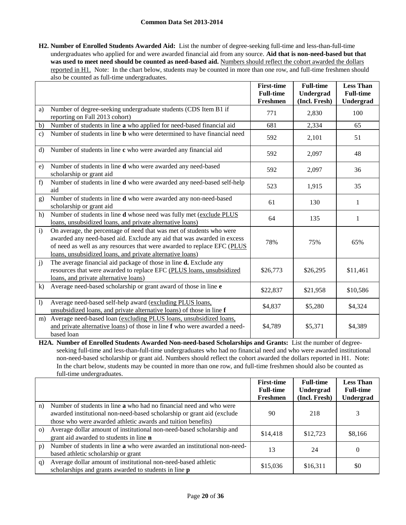**H2. Number of Enrolled Students Awarded Aid:** List the number of degree-seeking full-time and less-than-full-time undergraduates who applied for and were awarded financial aid from any source. **Aid that is non-need-based but that**  was used to meet need should be counted as need-based aid. Numbers should reflect the cohort awarded the dollars reported in H1. Note: In the chart below, students may be counted in more than one row, and full-time freshmen should also be counted as full-time undergraduates.

|                  |                                                                                                                                                                                                                                                                                        | <b>First-time</b><br><b>Full-time</b><br>Freshmen | <b>Full-time</b><br>Undergrad<br>(Incl. Fresh) | <b>Less Than</b><br><b>Full-time</b><br>Undergrad |
|------------------|----------------------------------------------------------------------------------------------------------------------------------------------------------------------------------------------------------------------------------------------------------------------------------------|---------------------------------------------------|------------------------------------------------|---------------------------------------------------|
| a)               | Number of degree-seeking undergraduate students (CDS Item B1 if<br>reporting on Fall 2013 cohort)                                                                                                                                                                                      | 771                                               | 2,830                                          | 100                                               |
| b)               | Number of students in line a who applied for need-based financial aid                                                                                                                                                                                                                  | 681                                               | 2,334                                          | 65                                                |
| $\mathbf{c}$ )   | Number of students in line <b>b</b> who were determined to have financial need                                                                                                                                                                                                         | 592                                               | 2,101                                          | 51                                                |
| $\rm d$          | Number of students in line c who were awarded any financial aid                                                                                                                                                                                                                        | 592                                               | 2,097                                          | 48                                                |
| e)               | Number of students in line d who were awarded any need-based<br>scholarship or grant aid                                                                                                                                                                                               | 592                                               | 2,097                                          | 36                                                |
| f)               | Number of students in line d who were awarded any need-based self-help<br>aid                                                                                                                                                                                                          | 523                                               | 1,915                                          | 35                                                |
| g)               | Number of students in line <b>d</b> who were awarded any non-need-based<br>scholarship or grant aid                                                                                                                                                                                    | 61                                                | 130                                            | 1                                                 |
| h)               | Number of students in line d whose need was fully met (exclude PLUS<br>loans, unsubsidized loans, and private alternative loans)                                                                                                                                                       | 64                                                | 135                                            | 1                                                 |
| $\mathbf{i}$     | On average, the percentage of need that was met of students who were<br>awarded any need-based aid. Exclude any aid that was awarded in excess<br>of need as well as any resources that were awarded to replace EFC (PLUS<br>loans, unsubsidized loans, and private alternative loans) | 78%                                               | 75%                                            | 65%                                               |
| j)               | The average financial aid package of those in line d. Exclude any<br>resources that were awarded to replace EFC (PLUS loans, unsubsidized<br>loans, and private alternative loans)                                                                                                     | \$26,773                                          | \$26,295                                       | \$11,461                                          |
| k)               | Average need-based scholarship or grant award of those in line e                                                                                                                                                                                                                       | \$22,837                                          | \$21,958                                       | \$10,586                                          |
| $\left  \right $ | Average need-based self-help award (excluding PLUS loans,<br>unsubsidized loans, and private alternative loans) of those in line f                                                                                                                                                     | \$4,837                                           | \$5,280                                        | \$4,324                                           |
| m)               | Average need-based loan (excluding PLUS loans, unsubsidized loans,<br>and private alternative loans) of those in line f who were awarded a need-<br>based loan                                                                                                                         | \$4,789                                           | \$5,371                                        | \$4,389                                           |

**H2A. Number of Enrolled Students Awarded Non-need-based Scholarships and Grants:** List the number of degreeseeking full-time and less-than-full-time undergraduates who had no financial need and who were awarded institutional non-need-based scholarship or grant aid. Numbers should reflect the cohort awarded the dollars reported in H1. Note: In the chart below, students may be counted in more than one row, and full-time freshmen should also be counted as full-time undergraduates.

|          |                                                                                                                                                                                                               | <b>First-time</b><br><b>Full-time</b><br>Freshmen | <b>Full-time</b><br>Undergrad<br>(Incl. Fresh) | <b>Less Than</b><br><b>Full-time</b><br><b>Undergrad</b> |
|----------|---------------------------------------------------------------------------------------------------------------------------------------------------------------------------------------------------------------|---------------------------------------------------|------------------------------------------------|----------------------------------------------------------|
| n)       | Number of students in line a who had no financial need and who were<br>awarded institutional non-need-based scholarship or grant aid (exclude<br>those who were awarded athletic awards and tuition benefits) | 90                                                | 218                                            | 3                                                        |
| $\Omega$ | Average dollar amount of institutional non-need-based scholarship and<br>grant aid awarded to students in line <b>n</b>                                                                                       | \$14,418                                          | \$12,723                                       | \$8,166                                                  |
| p)       | Number of students in line a who were awarded an institutional non-need-<br>based athletic scholarship or grant                                                                                               | 13                                                | 24                                             | $\theta$                                                 |
| q)       | Average dollar amount of institutional non-need-based athletic<br>scholarships and grants awarded to students in line <b>p</b>                                                                                | \$15,036                                          | \$16,311                                       | \$0                                                      |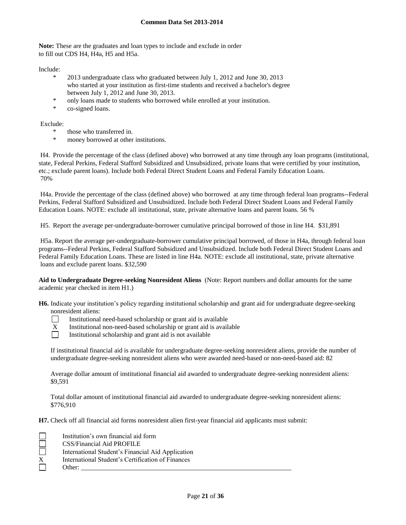**Note:** These are the graduates and loan types to include and exclude in order to fill out CDS H4, H4a, H5 and H5a.

Include:

- \* 2013 undergraduate class who graduated between July 1, 2012 and June 30, 2013 who started at your institution as first-time students and received a bachelor's degree between July 1, 2012 and June 30, 2013.
- \* only loans made to students who borrowed while enrolled at your institution.
- \* co-signed loans.

Exclude:

- those who transferred in.
- money borrowed at other institutions.

H4. Provide the percentage of the class (defined above) who borrowed at any time through any loan programs (institutional, state, Federal Perkins, Federal Stafford Subsidized and Unsubsidized, private loans that were certified by your institution, etc.; exclude parent loans). Include both Federal Direct Student Loans and Federal Family Education Loans. 70%

H4a. Provide the percentage of the class (defined above) who borrowed at any time through federal loan programs--Federal Perkins, Federal Stafford Subsidized and Unsubsidized. Include both Federal Direct Student Loans and Federal Family Education Loans. NOTE: exclude all institutional, state, private alternative loans and parent loans. 56 %

H5. Report the average per-undergraduate-borrower cumulative principal borrowed of those in line H4. \$31,891

H5a. Report the average per-undergraduate-borrower cumulative principal borrowed, of those in H4a, through federal loan programs--Federal Perkins, Federal Stafford Subsidized and Unsubsidized. Include both Federal Direct Student Loans and Federal Family Education Loans. These are listed in line H4a. NOTE: exclude all institutional, state, private alternative loans and exclude parent loans. \$32,590

**Aid to Undergraduate Degree-seeking Nonresident Aliens** (Note: Report numbers and dollar amounts for the same academic year checked in item H1.)

**H6.** Indicate your institution's policy regarding institutional scholarship and grant aid for undergraduate degree-seeking nonresident aliens:

- $\Box$ Institutional need-based scholarship or grant aid is available
- $X$  Institutional non-need-based scholarship or grant aid is available<br>
Institutional scholarship and grant aid is not available
	- Institutional scholarship and grant aid is not available

If institutional financial aid is available for undergraduate degree-seeking nonresident aliens, provide the number of undergraduate degree-seeking nonresident aliens who were awarded need-based or non-need-based aid: 82

Average dollar amount of institutional financial aid awarded to undergraduate degree-seeking nonresident aliens: \$9,591

Total dollar amount of institutional financial aid awarded to undergraduate degree-seeking nonresident aliens: \$776,910

**H7.** Check off all financial aid forms nonresident alien first-year financial aid applicants must submit:

|   | Institution's own financial aid form              |
|---|---------------------------------------------------|
|   | <b>CSS/Financial Aid PROFILE</b>                  |
|   | International Student's Financial Aid Application |
| X | International Student's Certification of Finances |
|   | Other:                                            |
|   |                                                   |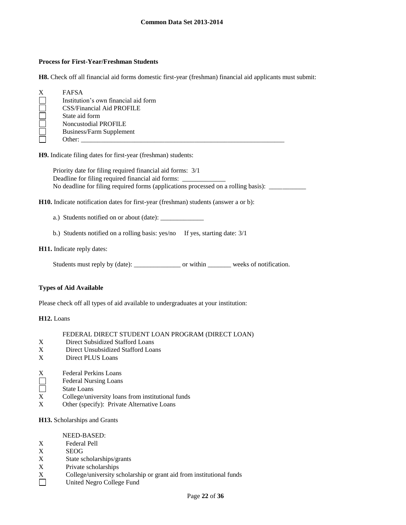### **Process for First-Year/Freshman Students**

**H8.** Check off all financial aid forms domestic first-year (freshman) financial aid applicants must submit:

| X | <b>FAFSA</b>                         |
|---|--------------------------------------|
|   | Institution's own financial aid form |
|   | CSS/Financial Aid PROFILE            |
|   | State aid form                       |
|   | Noncustodial PROFILE                 |
|   | Business/Farm Supplement             |
|   | Other:                               |

**H9.** Indicate filing dates for first-year (freshman) students:

Priority date for filing required financial aid forms: 3/1 Deadline for filing required financial aid forms: \_\_\_\_\_\_\_\_\_\_\_\_\_\_\_\_\_\_\_\_\_\_\_\_\_\_\_\_\_\_\_ No deadline for filing required forms (applications processed on a rolling basis): \_\_\_\_\_\_\_\_\_\_

**H10.** Indicate notification dates for first-year (freshman) students (answer a or b):

a.) Students notified on or about (date): \_\_\_\_\_\_\_\_\_\_\_\_\_

b.) Students notified on a rolling basis: yes/no If yes, starting date:  $3/1$ 

#### **H11.** Indicate reply dates:

Students must reply by (date): \_\_\_\_\_\_\_\_\_\_\_\_\_\_\_\_\_\_\_ or within \_\_\_\_\_\_\_\_\_ weeks of notification.

## **Types of Aid Available**

Please check off all types of aid available to undergraduates at your institution:

#### **H12.** Loans

#### FEDERAL DIRECT STUDENT LOAN PROGRAM (DIRECT LOAN)

- X Direct Subsidized Stafford Loans<br>X Direct Unsubsidized Stafford Loa
- Direct Unsubsidized Stafford Loans
- X Direct PLUS Loans
- 
- X Federal Perkins Loans<br>
Federal Nursing Loans<br>
State Loans Federal Nursing Loans
- State Loans
- X College/university loans from institutional funds
- X Other (specify): Private Alternative Loans

#### **H13.** Scholarships and Grants

- NEED-BASED:
- X Federal Pell
- X SEOG
- X State scholarships/grants<br>X Private scholarships
- Private scholarships
- X College/university scholarship or grant aid from institutional funds
- $\Box$ United Negro College Fund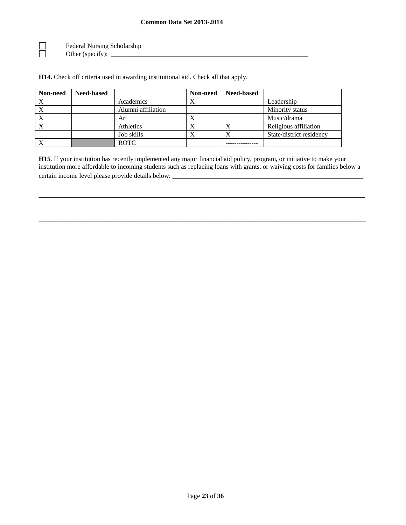Federal Nursing Scholarship Other (specify): \_\_\_\_\_\_\_\_\_\_\_\_\_\_\_\_\_\_\_\_\_\_\_\_\_\_\_\_\_\_\_\_\_\_\_\_\_\_\_\_\_\_\_\_\_\_\_\_\_\_\_\_\_\_\_\_\_\_\_

 $\begin{array}{ccc} \hline \hline \hline \hline \hline \end{array}$ 

**H14.** Check off criteria used in awarding institutional aid. Check all that apply.

| Non-need | <b>Need-based</b> |                    | Non-need  | <b>Need-based</b> |                          |
|----------|-------------------|--------------------|-----------|-------------------|--------------------------|
|          |                   | Academics          | Λ         |                   | Leadership               |
|          |                   | Alumni affiliation |           |                   | Minority status          |
|          |                   | Art                |           |                   | Music/drama              |
|          |                   | Athletics          | $\Lambda$ |                   | Religious affiliation    |
|          |                   | Job skills         | $\lambda$ |                   | State/district residency |
|          |                   | <b>ROTC</b>        |           |                   |                          |

**H15**. If your institution has recently implemented any major financial aid policy, program, or initiative to make your institution more affordable to incoming students such as replacing loans with grants, or waiving costs for families below a certain income level please provide details below:

\_\_\_\_\_\_\_\_\_\_\_\_\_\_\_\_\_\_\_\_\_\_\_\_\_\_\_\_\_\_\_\_\_\_\_\_\_\_\_\_\_\_\_\_\_\_\_\_\_\_\_\_\_\_\_\_\_\_\_\_\_\_\_\_\_\_\_\_\_\_\_\_\_\_\_\_\_\_\_\_\_\_

\_\_\_\_\_\_\_\_\_\_\_\_\_\_\_\_\_\_\_\_\_\_\_\_\_\_\_\_\_\_\_\_\_\_\_\_\_\_\_\_\_\_\_\_\_\_\_\_\_\_\_\_\_\_\_\_\_\_\_\_\_\_\_\_\_\_\_\_\_\_\_\_\_\_\_\_\_\_\_\_\_\_\_\_\_\_\_\_\_\_\_\_\_\_\_\_\_\_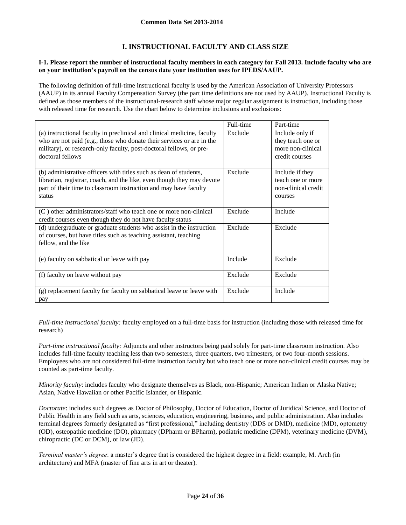# **I. INSTRUCTIONAL FACULTY AND CLASS SIZE**

### **I-1. Please report the number of instructional faculty members in each category for Fall 2013. Include faculty who are on your institution's payroll on the census date your institution uses for IPEDS/AAUP.**

The following definition of full-time instructional faculty is used by the American Association of University Professors (AAUP) in its annual Faculty Compensation Survey (the part time definitions are not used by AAUP). Instructional Faculty is defined as those members of the instructional-research staff whose major regular assignment is instruction, including those with released time for research. Use the chart below to determine inclusions and exclusions:

|                                                                                                                                                                                                                                             | Full-time | Part-time                                                                   |
|---------------------------------------------------------------------------------------------------------------------------------------------------------------------------------------------------------------------------------------------|-----------|-----------------------------------------------------------------------------|
| (a) instructional faculty in preclinical and clinical medicine, faculty<br>who are not paid (e.g., those who donate their services or are in the<br>military), or research-only faculty, post-doctoral fellows, or pre-<br>doctoral fellows | Exclude   | Include only if<br>they teach one or<br>more non-clinical<br>credit courses |
| (b) administrative officers with titles such as dean of students,<br>librarian, registrar, coach, and the like, even though they may devote<br>part of their time to classroom instruction and may have faculty<br>status                   | Exclude   | Include if they<br>teach one or more<br>non-clinical credit<br>courses      |
| (C) other administrators/staff who teach one or more non-clinical<br>credit courses even though they do not have faculty status                                                                                                             | Exclude   | Include                                                                     |
| (d) undergraduate or graduate students who assist in the instruction<br>of courses, but have titles such as teaching assistant, teaching<br>fellow, and the like                                                                            | Exclude   | Exclude                                                                     |
| (e) faculty on sabbatical or leave with pay                                                                                                                                                                                                 | Include   | Exclude                                                                     |
| (f) faculty on leave without pay                                                                                                                                                                                                            | Exclude   | Exclude                                                                     |
| (g) replacement faculty for faculty on sabbatical leave or leave with<br>pay                                                                                                                                                                | Exclude   | Include                                                                     |

*Full-time instructional faculty:* faculty employed on a full-time basis for instruction (including those with released time for research)

*Part-time instructional faculty:* Adjuncts and other instructors being paid solely for part-time classroom instruction. Also includes full-time faculty teaching less than two semesters, three quarters, two trimesters, or two four-month sessions. Employees who are not considered full-time instruction faculty but who teach one or more non-clinical credit courses may be counted as part-time faculty.

*Minority faculty*: includes faculty who designate themselves as Black, non-Hispanic; American Indian or Alaska Native; Asian, Native Hawaiian or other Pacific Islander, or Hispanic.

*Doctorate*: includes such degrees as Doctor of Philosophy, Doctor of Education, Doctor of Juridical Science, and Doctor of Public Health in any field such as arts, sciences, education, engineering, business, and public administration. Also includes terminal degrees formerly designated as "first professional," including dentistry (DDS or DMD), medicine (MD), optometry (OD), osteopathic medicine (DO), pharmacy (DPharm or BPharm), podiatric medicine (DPM), veterinary medicine (DVM), chiropractic (DC or DCM), or law (JD).

*Terminal master's degree*: a master's degree that is considered the highest degree in a field: example, M. Arch (in architecture) and MFA (master of fine arts in art or theater).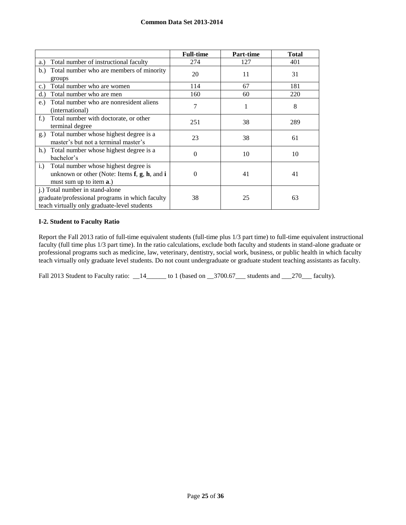|                                                                                                                                     | <b>Full-time</b> | Part-time | <b>Total</b> |
|-------------------------------------------------------------------------------------------------------------------------------------|------------------|-----------|--------------|
| Total number of instructional faculty<br>a.)                                                                                        | 274              | 127       | 401          |
| Total number who are members of minority<br>b.)<br>groups                                                                           | 20               | 11        | 31           |
| Total number who are women<br>c.                                                                                                    | 114              | 67        | 181          |
| Total number who are men<br>d.                                                                                                      | 160              | 60        | 220          |
| Total number who are nonresident aliens<br>$e$ .<br>(international)                                                                 | 7                |           | 8            |
| $f$ .)<br>Total number with doctorate, or other<br>terminal degree                                                                  | 251              | 38        | 289          |
| Total number whose highest degree is a<br>g.)<br>master's but not a terminal master's                                               | 23               | 38        | 61           |
| Total number whose highest degree is a<br>$h.$ )<br>bachelor's                                                                      | 0                | 10        | 10           |
| Total number whose highest degree is<br>$i$ .<br>unknown or other (Note: Items $f$ , $g$ , $h$ , and $i$<br>must sum up to item a.) | $\theta$         | 41        | 41           |
| j.) Total number in stand-alone<br>graduate/professional programs in which faculty<br>teach virtually only graduate-level students  | 38               | 25        | 63           |

## **I-2. Student to Faculty Ratio**

Report the Fall 2013 ratio of full-time equivalent students (full-time plus 1/3 part time) to full-time equivalent instructional faculty (full time plus 1/3 part time). In the ratio calculations, exclude both faculty and students in stand-alone graduate or professional programs such as medicine, law, veterinary, dentistry, social work, business, or public health in which faculty teach virtually only graduate level students. Do not count undergraduate or graduate student teaching assistants as faculty.

Fall 2013 Student to Faculty ratio: \_\_14\_\_\_\_\_\_ to 1 (based on \_\_3700.67\_\_\_ students and \_\_270\_\_\_ faculty).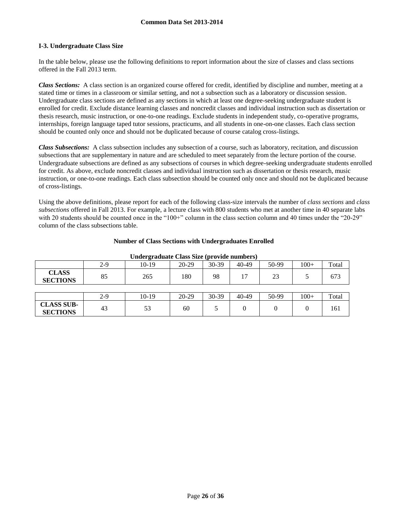# **I-3. Undergraduate Class Size**

In the table below, please use the following definitions to report information about the size of classes and class sections offered in the Fall 2013 term.

*Class Sections:* A class section is an organized course offered for credit, identified by discipline and number, meeting at a stated time or times in a classroom or similar setting, and not a subsection such as a laboratory or discussion session. Undergraduate class sections are defined as any sections in which at least one degree-seeking undergraduate student is enrolled for credit. Exclude distance learning classes and noncredit classes and individual instruction such as dissertation or thesis research, music instruction, or one-to-one readings. Exclude students in independent study, co-operative programs, internships, foreign language taped tutor sessions, practicums, and all students in one-on-one classes. Each class section should be counted only once and should not be duplicated because of course catalog cross-listings.

*Class Subsections:* A class subsection includes any subsection of a course, such as laboratory, recitation, and discussion subsections that are supplementary in nature and are scheduled to meet separately from the lecture portion of the course. Undergraduate subsections are defined as any subsections of courses in which degree-seeking undergraduate students enrolled for credit. As above, exclude noncredit classes and individual instruction such as dissertation or thesis research, music instruction, or one-to-one readings. Each class subsection should be counted only once and should not be duplicated because of cross-listings.

Using the above definitions, please report for each of the following class-size intervals the number of *class sections* and *class subsections* offered in Fall 2013. For example, a lecture class with 800 students who met at another time in 40 separate labs with 20 students should be counted once in the "100+" column in the class section column and 40 times under the "20-29" column of the class subsections table.

| Undergraduate Class Size (provide numbers) |                                                                           |     |     |    |    |    |   |     |  |
|--------------------------------------------|---------------------------------------------------------------------------|-----|-----|----|----|----|---|-----|--|
|                                            | $10-19$<br>$100+$<br>2-9<br>30-39<br>50-99<br>$20-29$<br>40-49<br>Total   |     |     |    |    |    |   |     |  |
| <b>CLASS</b><br><b>SECTIONS</b>            | 85                                                                        | 265 | 180 | 98 | 17 | 23 |   | 673 |  |
|                                            |                                                                           |     |     |    |    |    |   |     |  |
|                                            | 30-39<br>20-29<br>$100+$<br>$10-19$<br>$40 - 49$<br>50-99<br>2-9<br>Total |     |     |    |    |    |   |     |  |
| <b>CLASS SUB-</b><br><b>SECTIONS</b>       | 43                                                                        | 53  | 60  |    | 0  |    | 0 | 161 |  |

### **Number of Class Sections with Undergraduates Enrolled**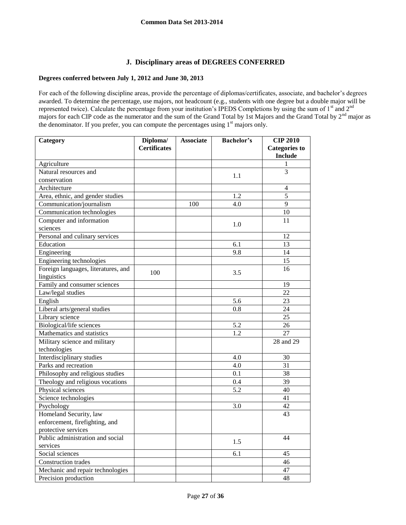# **J. Disciplinary areas of DEGREES CONFERRED**

# **Degrees conferred between July 1, 2012 and June 30, 2013**

For each of the following discipline areas, provide the percentage of diplomas/certificates, associate, and bachelor's degrees awarded. To determine the percentage, use majors, not headcount (e.g., students with one degree but a double major will be represented twice). Calculate the percentage from your institution's IPEDS Completions by using the sum of 1<sup>st</sup> and 2<sup>nd</sup> majors for each CIP code as the numerator and the sum of the Grand Total by 1st Majors and the Grand Total by 2<sup>nd</sup> major as the denominator. If you prefer, you can compute the percentages using  $1<sup>st</sup>$  majors only.

| Category                            | Diploma/            | <b>Associate</b> | <b>Bachelor's</b> | <b>CIP 2010</b>      |
|-------------------------------------|---------------------|------------------|-------------------|----------------------|
|                                     | <b>Certificates</b> |                  |                   | <b>Categories to</b> |
|                                     |                     |                  |                   | <b>Include</b>       |
| Agriculture                         |                     |                  |                   | 1                    |
| Natural resources and               |                     |                  | 1.1               | $\overline{3}$       |
| conservation                        |                     |                  |                   |                      |
| Architecture                        |                     |                  |                   | 4                    |
| Area, ethnic, and gender studies    |                     |                  | 1.2               | 5                    |
| Communication/journalism            |                     | 100              | 4.0               | 9                    |
| Communication technologies          |                     |                  |                   | 10                   |
| Computer and information            |                     |                  | 1.0               | 11                   |
| sciences                            |                     |                  |                   |                      |
| Personal and culinary services      |                     |                  |                   | 12                   |
| Education                           |                     |                  | 6.1               | 13                   |
| Engineering                         |                     |                  | 9.8               | 14                   |
| Engineering technologies            |                     |                  |                   | $\overline{15}$      |
| Foreign languages, literatures, and |                     |                  |                   | 16                   |
| linguistics                         | 100                 |                  | 3.5               |                      |
| Family and consumer sciences        |                     |                  |                   | 19                   |
| Law/legal studies                   |                     |                  |                   | 22                   |
| English                             |                     |                  | 5.6               | 23                   |
| Liberal arts/general studies        |                     |                  | 0.8               | 24                   |
| Library science                     |                     |                  |                   | 25                   |
| Biological/life sciences            |                     |                  | 5.2               | $\overline{26}$      |
| Mathematics and statistics          |                     |                  | 1.2               | 27                   |
| Military science and military       |                     |                  |                   | 28 and 29            |
| technologies                        |                     |                  |                   |                      |
| Interdisciplinary studies           |                     |                  | 4.0               | 30                   |
| Parks and recreation                |                     |                  | 4.0               | 31                   |
| Philosophy and religious studies    |                     |                  | 0.1               | 38                   |
| Theology and religious vocations    |                     |                  | 0.4               | 39                   |
| Physical sciences                   |                     |                  | 5.2               | $\overline{40}$      |
| Science technologies                |                     |                  |                   | 41                   |
| Psychology                          |                     |                  | 3.0               | 42                   |
| Homeland Security, law              |                     |                  |                   | 43                   |
| enforcement, firefighting, and      |                     |                  |                   |                      |
| protective services                 |                     |                  |                   |                      |
| Public administration and social    |                     |                  |                   | 44                   |
| services                            |                     |                  | 1.5               |                      |
| Social sciences                     |                     |                  | 6.1               | 45                   |
| Construction trades                 |                     |                  |                   | 46                   |
| Mechanic and repair technologies    |                     |                  |                   | 47                   |
| Precision production                |                     |                  |                   | 48                   |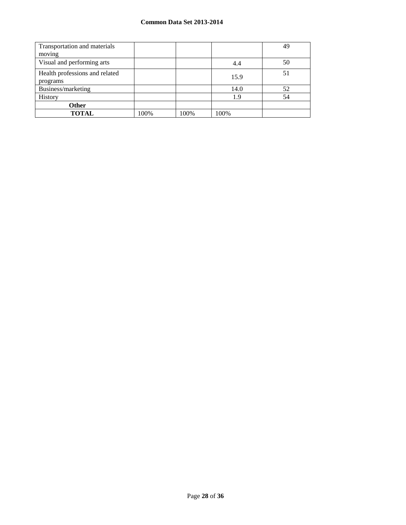| Transportation and materials               |      |      |      | 49 |
|--------------------------------------------|------|------|------|----|
| moving                                     |      |      |      |    |
| Visual and performing arts                 |      |      | 4.4  | 50 |
| Health professions and related<br>programs |      |      | 15.9 | 51 |
| Business/marketing                         |      |      | 14.0 | 52 |
| History                                    |      |      | 1.9  | 54 |
| <b>Other</b>                               |      |      |      |    |
| <b>TOTAL</b>                               | 100% | 100% | 100% |    |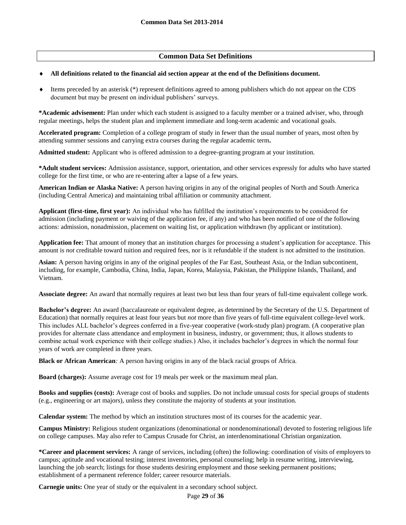# **Common Data Set Definitions**

### **All definitions related to the financial aid section appear at the end of the Definitions document.**

 Items preceded by an asterisk (\*) represent definitions agreed to among publishers which do not appear on the CDS document but may be present on individual publishers' surveys.

**\*Academic advisement:** Plan under which each student is assigned to a faculty member or a trained adviser, who, through regular meetings, helps the student plan and implement immediate and long-term academic and vocational goals.

**Accelerated program:** Completion of a college program of study in fewer than the usual number of years, most often by attending summer sessions and carrying extra courses during the regular academic term**.**

**Admitted student:** Applicant who is offered admission to a degree-granting program at your institution.

**\*Adult student services:** Admission assistance, support, orientation, and other services expressly for adults who have started college for the first time, or who are re-entering after a lapse of a few years.

**American Indian or Alaska Native:** A person having origins in any of the original peoples of North and South America (including Central America) and maintaining tribal affiliation or community attachment.

**Applicant (first-time, first year):** An individual who has fulfilled the institution's requirements to be considered for admission (including payment or waiving of the application fee, if any) and who has been notified of one of the following actions: admission, nonadmission, placement on waiting list, or application withdrawn (by applicant or institution).

**Application fee:** That amount of money that an institution charges for processing a student's application for acceptance. This amount is *not* creditable toward tuition and required fees, nor is it refundable if the student is not admitted to the institution.

**Asian:** A person having origins in any of the original peoples of the Far East, Southeast Asia, or the Indian subcontinent, including, for example, Cambodia, China, India, Japan, Korea, Malaysia, Pakistan, the Philippine Islands, Thailand, and Vietnam.

**Associate degree:** An award that normally requires at least two but less than four years of full-time equivalent college work.

**Bachelor's degree:** An award (baccalaureate or equivalent degree, as determined by the Secretary of the U.S. Department of Education) that normally requires at least four years but *not* more than five years of full-time equivalent college-level work. This includes ALL bachelor's degrees conferred in a five-year cooperative (work-study plan) program. (A cooperative plan provides for alternate class attendance and employment in business, industry, or government; thus, it allows students to combine actual work experience with their college studies.) Also, it includes bachelor's degrees in which the normal four years of work are completed in three years.

**Black or African American***:* A person having origins in any of the black racial groups of Africa.

**Board (charges):** Assume average cost for 19 meals per week or the maximum meal plan.

**Books and supplies (costs):** Average cost of books and supplies. Do not include unusual costs for special groups of students (e.g., engineering or art majors), unless they constitute the majority of students at your institution.

**Calendar system:** The method by which an institution structures most of its courses for the academic year.

**Campus Ministry:** Religious student organizations (denominational or nondenominational) devoted to fostering religious life on college campuses. May also refer to Campus Crusade for Christ, an interdenominational Christian organization.

**\*Career and placement services:** A range of services, including (often) the following: coordination of visits of employers to campus; aptitude and vocational testing; interest inventories, personal counseling; help in resume writing, interviewing, launching the job search; listings for those students desiring employment and those seeking permanent positions; establishment of a permanent reference folder; career resource materials.

**Carnegie units:** One year of study or the equivalent in a secondary school subject.

Page **29** of **36**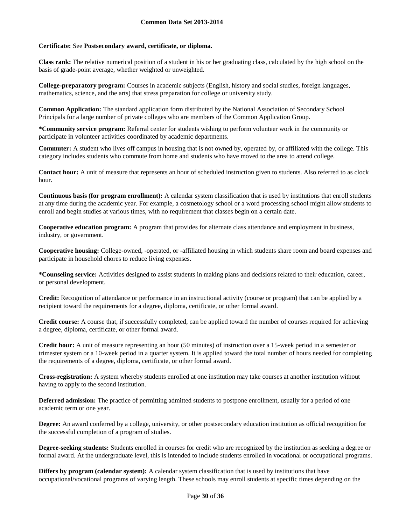## **Certificate:** See **Postsecondary award, certificate, or diploma.**

**Class rank:** The relative numerical position of a student in his or her graduating class, calculated by the high school on the basis of grade-point average, whether weighted or unweighted.

**College-preparatory program:** Courses in academic subjects (English, history and social studies, foreign languages, mathematics, science, and the arts) that stress preparation for college or university study.

**Common Application:** The standard application form distributed by the National Association of Secondary School Principals for a large number of private colleges who are members of the Common Application Group.

**\*Community service program:** Referral center for students wishing to perform volunteer work in the community or participate in volunteer activities coordinated by academic departments.

**Commuter:** A student who lives off campus in housing that is not owned by, operated by, or affiliated with the college. This category includes students who commute from home and students who have moved to the area to attend college.

**Contact hour:** A unit of measure that represents an hour of scheduled instruction given to students. Also referred to as clock hour.

**Continuous basis (for program enrollment):** A calendar system classification that is used by institutions that enroll students at any time during the academic year. For example, a cosmetology school or a word processing school might allow students to enroll and begin studies at various times, with no requirement that classes begin on a certain date.

**Cooperative education program:** A program that provides for alternate class attendance and employment in business, industry, or government.

**Cooperative housing:** College-owned, -operated, or -affiliated housing in which students share room and board expenses and participate in household chores to reduce living expenses.

**\*Counseling service:** Activities designed to assist students in making plans and decisions related to their education, career, or personal development.

**Credit:** Recognition of attendance or performance in an instructional activity (course or program) that can be applied by a recipient toward the requirements for a degree, diploma, certificate, or other formal award.

**Credit course:** A course that, if successfully completed, can be applied toward the number of courses required for achieving a degree, diploma, certificate, or other formal award.

**Credit hour:** A unit of measure representing an hour (50 minutes) of instruction over a 15-week period in a semester or trimester system or a 10-week period in a quarter system. It is applied toward the total number of hours needed for completing the requirements of a degree, diploma, certificate, or other formal award.

**Cross-registration:** A system whereby students enrolled at one institution may take courses at another institution without having to apply to the second institution.

**Deferred admission:** The practice of permitting admitted students to postpone enrollment, usually for a period of one academic term or one year.

**Degree:** An award conferred by a college, university, or other postsecondary education institution as official recognition for the successful completion of a program of studies.

**Degree-seeking students:** Students enrolled in courses for credit who are recognized by the institution as seeking a degree or formal award. At the undergraduate level, this is intended to include students enrolled in vocational or occupational programs.

**Differs by program (calendar system):** A calendar system classification that is used by institutions that have occupational/vocational programs of varying length. These schools may enroll students at specific times depending on the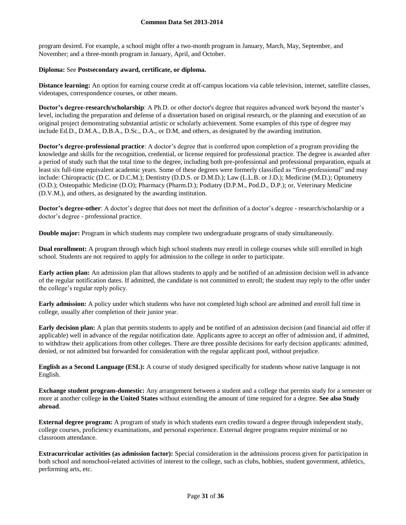program desired. For example, a school might offer a two-month program in January, March, May, September, and November; and a three-month program in January, April, and October.

## **Diploma:** See **Postsecondary award, certificate, or diploma.**

**Distance learning:** An option for earning course credit at off-campus locations via cable television, internet, satellite classes, videotapes, correspondence courses, or other means.

**Doctor's degree-research/scholarship**: A Ph.D. or other doctor's degree that requires advanced work beyond the master's level, including the preparation and defense of a dissertation based on original research, or the planning and execution of an original project demonstrating substantial artistic or scholarly achievement. Some examples of this type of degree may include Ed.D., D.M.A., D.B.A., D.Sc., D.A., or D.M, and others, as designated by the awarding institution.

**Doctor's degree-professional practice**: A doctor's degree that is conferred upon completion of a program providing the knowledge and skills for the recognition, credential, or license required for professional practice. The degree is awarded after a period of study such that the total time to the degree, including both pre-professional and professional preparation, equals at least six full-time equivalent academic years. Some of these degrees were formerly classified as "first-professional" and may include: Chiropractic (D.C. or D.C.M.); Dentistry (D.D.S. or D.M.D.); Law (L.L.B. or J.D.); Medicine (M.D.); Optometry (O.D.); Osteopathic Medicine (D.O); Pharmacy (Pharm.D.); Podiatry (D.P.M., Pod.D., D.P.); or, Veterinary Medicine (D.V.M.), and others, as designated by the awarding institution.

**Doctor's degree-other**: A doctor's degree that does not meet the definition of a doctor's degree - research/scholarship or a doctor's degree - professional practice.

**Double major:** Program in which students may complete two undergraduate programs of study simultaneously.

**Dual enrollment:** A program through which high school students may enroll in college courses while still enrolled in high school. Students are not required to apply for admission to the college in order to participate.

**Early action plan:** An admission plan that allows students to apply and be notified of an admission decision well in advance of the regular notification dates. If admitted, the candidate is not committed to enroll; the student may reply to the offer under the college's regular reply policy.

**Early admission:** A policy under which students who have not completed high school are admitted and enroll full time in college, usually after completion of their junior year.

**Early decision plan:** A plan that permits students to apply and be notified of an admission decision (and financial aid offer if applicable) well in advance of the regular notification date. Applicants agree to accept an offer of admission and, if admitted, to withdraw their applications from other colleges. There are three possible decisions for early decision applicants: admitted, denied, or not admitted but forwarded for consideration with the regular applicant pool, without prejudice.

**English as a Second Language (ESL):** A course of study designed specifically for students whose native language is not English.

**Exchange student program-domestic:** Any arrangement between a student and a college that permits study for a semester or more at another college **in the United States** without extending the amount of time required for a degree. **See also Study abroad**.

**External degree program:** A program of study in which students earn credits toward a degree through independent study, college courses, proficiency examinations, and personal experience. External degree programs require minimal or no classroom attendance.

**Extracurricular activities (as admission factor):** Special consideration in the admissions process given for participation in both school and nonschool-related activities of interest to the college, such as clubs, hobbies, student government, athletics, performing arts, etc.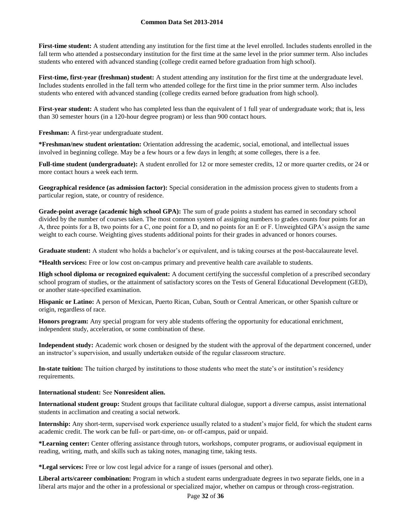First-time student: A student attending any institution for the first time at the level enrolled. Includes students enrolled in the fall term who attended a postsecondary institution for the first time at the same level in the prior summer term. Also includes students who entered with advanced standing (college credit earned before graduation from high school).

**First-time, first-year (freshman) student:** A student attending any institution for the first time at the undergraduate level. Includes students enrolled in the fall term who attended college for the first time in the prior summer term. Also includes students who entered with advanced standing (college credits earned before graduation from high school).

First-year student: A student who has completed less than the equivalent of 1 full year of undergraduate work; that is, less than 30 semester hours (in a 120-hour degree program) or less than 900 contact hours.

**Freshman:** A first-year undergraduate student.

**\*Freshman/new student orientation:** Orientation addressing the academic, social, emotional, and intellectual issues involved in beginning college. May be a few hours or a few days in length; at some colleges, there is a fee.

**Full-time student (undergraduate):** A student enrolled for 12 or more semester credits, 12 or more quarter credits, or 24 or more contact hours a week each term.

**Geographical residence (as admission factor):** Special consideration in the admission process given to students from a particular region, state, or country of residence.

**Grade-point average (academic high school GPA):** The sum of grade points a student has earned in secondary school divided by the number of courses taken. The most common system of assigning numbers to grades counts four points for an A, three points for a B, two points for a C, one point for a D, and no points for an E or F. Unweighted GPA's assign the same weight to each course. Weighting gives students additional points for their grades in advanced or honors courses.

**Graduate student:** A student who holds a bachelor's or equivalent, and is taking courses at the post-baccalaureate level.

**\*Health services:** Free or low cost on-campus primary and preventive health care available to students.

**High school diploma or recognized equivalent:** A document certifying the successful completion of a prescribed secondary school program of studies, or the attainment of satisfactory scores on the Tests of General Educational Development (GED), or another state-specified examination.

**Hispanic or Latino:** A person of Mexican, Puerto Rican, Cuban, South or Central American, or other Spanish culture or origin, regardless of race.

**Honors program:** Any special program for very able students offering the opportunity for educational enrichment, independent study, acceleration, or some combination of these.

**Independent study:** Academic work chosen or designed by the student with the approval of the department concerned, under an instructor's supervision, and usually undertaken outside of the regular classroom structure.

**In-state tuition:** The tuition charged by institutions to those students who meet the state's or institution's residency requirements.

## **International student:** See **Nonresident alien.**

**International student group:** Student groups that facilitate cultural dialogue, support a diverse campus, assist international students in acclimation and creating a social network.

**Internship:** Any short-term, supervised work experience usually related to a student's major field, for which the student earns academic credit. The work can be full- or part-time, on- or off-campus, paid or unpaid.

**\*Learning center:** Center offering assistance through tutors, workshops, computer programs, or audiovisual equipment in reading, writing, math, and skills such as taking notes, managing time, taking tests.

**\*Legal services:** Free or low cost legal advice for a range of issues (personal and other).

**Liberal arts/career combination:** Program in which a student earns undergraduate degrees in two separate fields, one in a liberal arts major and the other in a professional or specialized major, whether on campus or through cross-registration.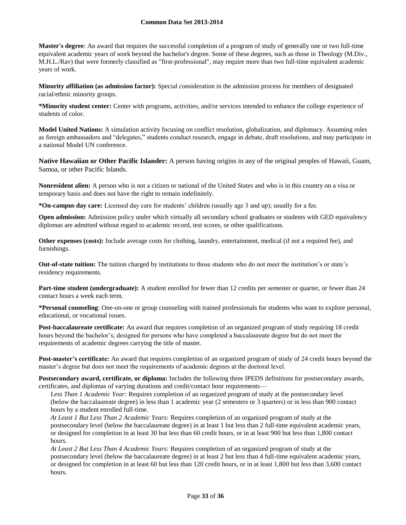**Master's degree**: An award that requires the successful completion of a program of study of generally one or two full-time equivalent academic years of work beyond the bachelor's degree. Some of these degrees, such as those in Theology (M.Div., M.H.L./Rav) that were formerly classified as "first-professional", may require more than two full-time equivalent academic years of work.

**Minority affiliation (as admission factor):** Special consideration in the admission process for members of designated racial/ethnic minority groups.

**\*Minority student center:** Center with programs, activities, and/or services intended to enhance the college experience of students of color.

**Model United Nations:** A simulation activity focusing on conflict resolution, globalization, and diplomacy. Assuming roles as foreign ambassadors and "delegates," students conduct research, engage in debate, draft resolutions, and may participate in a national Model UN conference.

**Native Hawaiian or Other Pacific Islander:** A person having origins in any of the original peoples of Hawaii, Guam, Samoa, or other Pacific Islands.

**Nonresident alien:** A person who is not a citizen or national of the United States and who is in this country on a visa or temporary basis and does not have the right to remain indefinitely.

**\*On-campus day care:** Licensed day care for students' children (usually age 3 and up); usually for a fee.

**Open admission:** Admission policy under which virtually all secondary school graduates or students with GED equivalency diplomas are admitted without regard to academic record, test scores, or other qualifications.

**Other expenses (costs):** Include average costs for clothing, laundry, entertainment, medical (if not a required fee), and furnishings.

**Out-of-state tuition:** The tuition charged by institutions to those students who do not meet the institution's or state's residency requirements.

**Part-time student (undergraduate):** A student enrolled for fewer than 12 credits per semester or quarter, or fewer than 24 contact hours a week each term.

**\*Personal counseling**: One-on-one or group counseling with trained professionals for students who want to explore personal, educational, or vocational issues.

**Post-baccalaureate certificate:** An award that requires completion of an organized program of study requiring 18 credit hours beyond the bachelor's; designed for persons who have completed a baccalaureate degree but do not meet the requirements of academic degrees carrying the title of master.

**Post-master's certificate:** An award that requires completion of an organized program of study of 24 credit hours beyond the master's degree but does not meet the requirements of academic degrees at the doctoral level.

**Postsecondary award, certificate, or diploma:** Includes the following three IPEDS definitions for postsecondary awards, certificates, and diplomas of varying durations and credit/contact hour requirements—

*Less Than 1 Academic Year:* Requires completion of an organized program of study at the postsecondary level (below the baccalaureate degree) in less than 1 academic year (2 semesters or 3 quarters) or in less than 900 contact hours by a student enrolled full-time.

*At Least 1 But Less Than 2 Academic Years:* Requires completion of an organized program of study at the postsecondary level (below the baccalaureate degree) in at least 1 but less than 2 full-time equivalent academic years, or designed for completion in at least 30 but less than 60 credit hours, or in at least 900 but less than 1,800 contact hours.

*At Least 2 But Less Than 4 Academic Years:* Requires completion of an organized program of study at the postsecondary level (below the baccalaureate degree) in at least 2 but less than 4 full-time equivalent academic years, or designed for completion in at least 60 but less than 120 credit hours, or in at least 1,800 but less than 3,600 contact hours.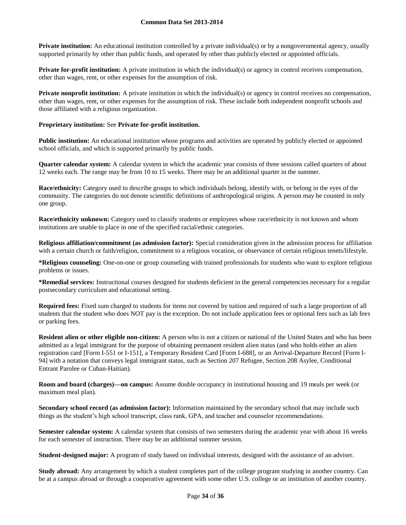**Private institution:** An educational institution controlled by a private individual(s) or by a nongovernmental agency, usually supported primarily by other than public funds, and operated by other than publicly elected or appointed officials.

**Private for-profit institution:** A private institution in which the individual(s) or agency in control receives compensation, other than wages, rent, or other expenses for the assumption of risk.

**Private nonprofit institution:** A private institution in which the individual(s) or agency in control receives no compensation, other than wages, rent, or other expenses for the assumption of risk. These include both independent nonprofit schools and those affiliated with a religious organization.

### **Proprietary institution:** See **Private for-profit institution.**

**Public institution:** An educational institution whose programs and activities are operated by publicly elected or appointed school officials, and which is supported primarily by public funds.

**Quarter calendar system:** A calendar system in which the academic year consists of three sessions called quarters of about 12 weeks each. The range may be from 10 to 15 weeks. There may be an additional quarter in the summer.

**Race/ethnicity:** Category used to describe groups to which individuals belong, identify with, or belong in the eyes of the community. The categories do not denote scientific definitions of anthropological origins. A person may be counted in only one group.

**Race/ethnicity unknown:** Category used to classify students or employees whose race/ethnicity is not known and whom institutions are unable to place in one of the specified racial/ethnic categories.

**Religious affiliation/commitment (as admission factor):** Special consideration given in the admission process for affiliation with a certain church or faith/religion, commitment to a religious vocation, or observance of certain religious tenets/lifestyle.

**\*Religious counseling:** One-on-one or group counseling with trained professionals for students who want to explore religious problems or issues.

**\*Remedial services:** Instructional courses designed for students deficient in the general competencies necessary for a regular postsecondary curriculum and educational setting.

**Required fees:** Fixed sum charged to students for items not covered by tuition and required of such a large proportion of all students that the student who does NOT pay is the exception. Do not include application fees or optional fees such as lab fees or parking fees.

**Resident alien or other eligible non-citizen:** A person who is not a citizen or national of the United States and who has been admitted as a legal immigrant for the purpose of obtaining permanent resident alien status (and who holds either an alien registration card [Form I-551 or I-151], a Temporary Resident Card [Form I-688], or an Arrival-Departure Record [Form I-94] with a notation that conveys legal immigrant status, such as Section 207 Refugee, Section 208 Asylee, Conditional Entrant Parolee or Cuban-Haitian).

**Room and board (charges)—on campus:** Assume double occupancy in institutional housing and 19 meals per week (or maximum meal plan).

**Secondary school record (as admission factor):** Information maintained by the secondary school that may include such things as the student's high school transcript, class rank, GPA, and teacher and counselor recommendations.

**Semester calendar system:** A calendar system that consists of two semesters during the academic year with about 16 weeks for each semester of instruction. There may be an additional summer session.

**Student-designed major:** A program of study based on individual interests, designed with the assistance of an adviser.

**Study abroad:** Any arrangement by which a student completes part of the college program studying in another country. Can be at a campus abroad or through a cooperative agreement with some other U.S. college or an institution of another country.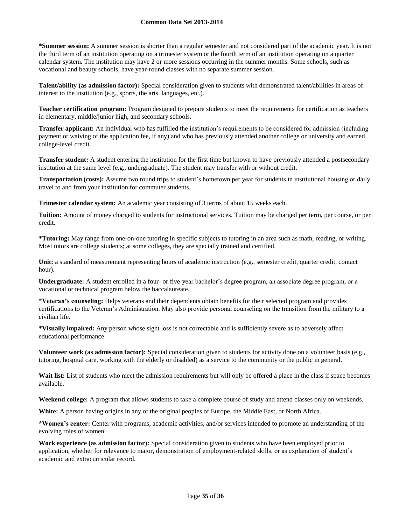**\*Summer session:** A summer session is shorter than a regular semester and not considered part of the academic year. It is not the third term of an institution operating on a trimester system or the fourth term of an institution operating on a quarter calendar system. The institution may have 2 or more sessions occurring in the summer months. Some schools, such as vocational and beauty schools, have year-round classes with no separate summer session.

**Talent/ability (as admission factor):** Special consideration given to students with demonstrated talent/abilities in areas of interest to the institution (e.g., sports, the arts, languages, etc.).

**Teacher certification program:** Program designed to prepare students to meet the requirements for certification as teachers in elementary, middle/junior high, and secondary schools.

**Transfer applicant:** An individual who has fulfilled the institution's requirements to be considered for admission (including payment or waiving of the application fee, if any) and who has previously attended another college or university and earned college-level credit.

**Transfer student:** A student entering the institution for the first time but known to have previously attended a postsecondary institution at the same level (e.g., undergraduate). The student may transfer with or without credit.

**Transportation (costs):** Assume two round trips to student's hometown per year for students in institutional housing or daily travel to and from your institution for commuter students.

**Trimester calendar system:** An academic year consisting of 3 terms of about 15 weeks each.

**Tuition:** Amount of money charged to students for instructional services. Tuition may be charged per term, per course, or per credit.

**\*Tutoring:** May range from one-on-one tutoring in specific subjects to tutoring in an area such as math, reading, or writing. Most tutors are college students; at some colleges, they are specially trained and certified.

Unit: a standard of measurement representing hours of academic instruction (e.g., semester credit, quarter credit, contact hour).

**Undergraduate:** A student enrolled in a four- or five-year bachelor's degree program, an associate degree program, or a vocational or technical program below the baccalaureate.

**\*Veteran's counseling:** Helps veterans and their dependents obtain benefits for their selected program and provides certifications to the Veteran's Administration. May also provide personal counseling on the transition from the military to a civilian life.

**\*Visually impaired:** Any person whose sight loss is not correctable and is sufficiently severe as to adversely affect educational performance.

**Volunteer work (as admission factor):** Special consideration given to students for activity done on a volunteer basis (e.g., tutoring, hospital care, working with the elderly or disabled) as a service to the community or the public in general.

Wait list: List of students who meet the admission requirements but will only be offered a place in the class if space becomes available.

**Weekend college:** A program that allows students to take a complete course of study and attend classes only on weekends.

**White:** A person having origins in any of the original peoples of Europe, the Middle East, or North Africa.

**\*Women's center:** Center with programs, academic activities, and/or services intended to promote an understanding of the evolving roles of women.

**Work experience (as admission factor):** Special consideration given to students who have been employed prior to application, whether for relevance to major, demonstration of employment-related skills, or as explanation of student's academic and extracurricular record.